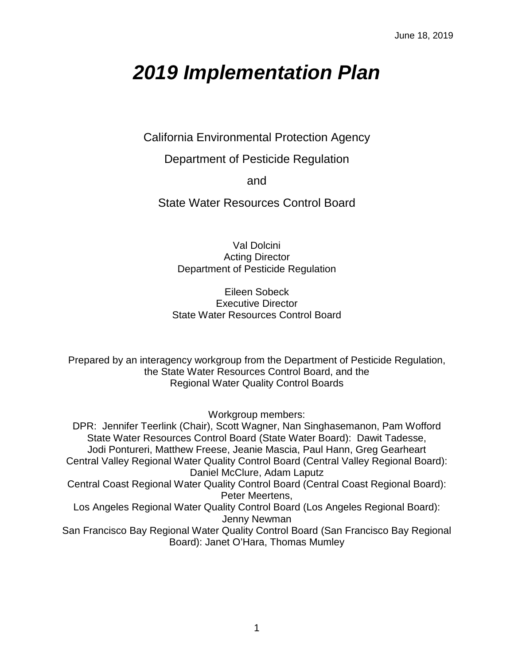# *2019 Implementation Plan*

California Environmental Protection Agency

Department of Pesticide Regulation

and

State Water Resources Control Board

Val Dolcini Acting Director Department of Pesticide Regulation

Eileen Sobeck Executive Director State Water Resources Control Board

Prepared by an interagency workgroup from the Department of Pesticide Regulation, the State Water Resources Control Board, and the Regional Water Quality Control Boards

Workgroup members:

DPR: Jennifer Teerlink (Chair), Scott Wagner, Nan Singhasemanon, Pam Wofford State Water Resources Control Board (State Water Board): Dawit Tadesse, Jodi Pontureri, Matthew Freese, Jeanie Mascia, Paul Hann, Greg Gearheart Central Valley Regional Water Quality Control Board (Central Valley Regional Board): Daniel McClure, Adam Laputz Central Coast Regional Water Quality Control Board (Central Coast Regional Board): Peter Meertens, Los Angeles Regional Water Quality Control Board (Los Angeles Regional Board): Jenny Newman San Francisco Bay Regional Water Quality Control Board (San Francisco Bay Regional Board): Janet O'Hara, Thomas Mumley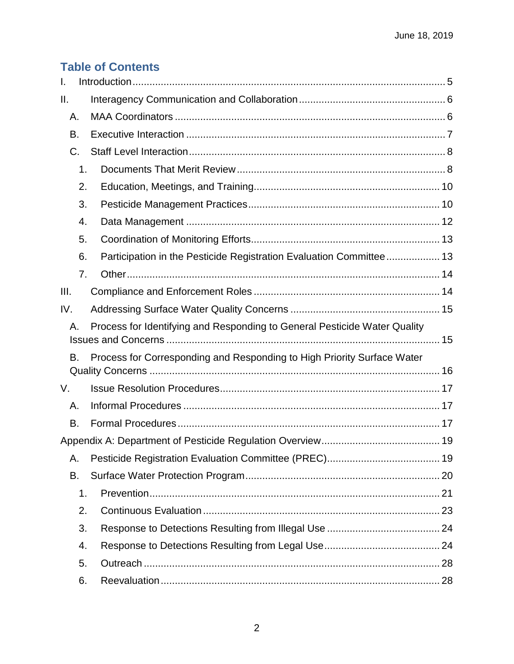## **Table of Contents**

| Τ.                                                                              |    |                                                                         |  |  |
|---------------------------------------------------------------------------------|----|-------------------------------------------------------------------------|--|--|
| Ш.                                                                              |    |                                                                         |  |  |
| А.                                                                              |    |                                                                         |  |  |
| В.                                                                              |    |                                                                         |  |  |
| C.                                                                              |    |                                                                         |  |  |
|                                                                                 | 1. |                                                                         |  |  |
|                                                                                 | 2. |                                                                         |  |  |
|                                                                                 | 3. |                                                                         |  |  |
|                                                                                 | 4. |                                                                         |  |  |
|                                                                                 | 5. |                                                                         |  |  |
|                                                                                 | 6. | Participation in the Pesticide Registration Evaluation Committee 13     |  |  |
|                                                                                 | 7. |                                                                         |  |  |
| III.                                                                            |    |                                                                         |  |  |
| IV.                                                                             |    |                                                                         |  |  |
| Process for Identifying and Responding to General Pesticide Water Quality<br>А. |    |                                                                         |  |  |
| В.                                                                              |    | Process for Corresponding and Responding to High Priority Surface Water |  |  |
| V.                                                                              |    |                                                                         |  |  |
| А.                                                                              |    |                                                                         |  |  |
| В.                                                                              |    |                                                                         |  |  |
|                                                                                 |    |                                                                         |  |  |
| Α.                                                                              |    |                                                                         |  |  |
| В.                                                                              |    |                                                                         |  |  |
|                                                                                 | 1. |                                                                         |  |  |
|                                                                                 | 2. |                                                                         |  |  |
|                                                                                 | 3. |                                                                         |  |  |
|                                                                                 | 4. |                                                                         |  |  |
|                                                                                 | 5. |                                                                         |  |  |
|                                                                                 | 6. |                                                                         |  |  |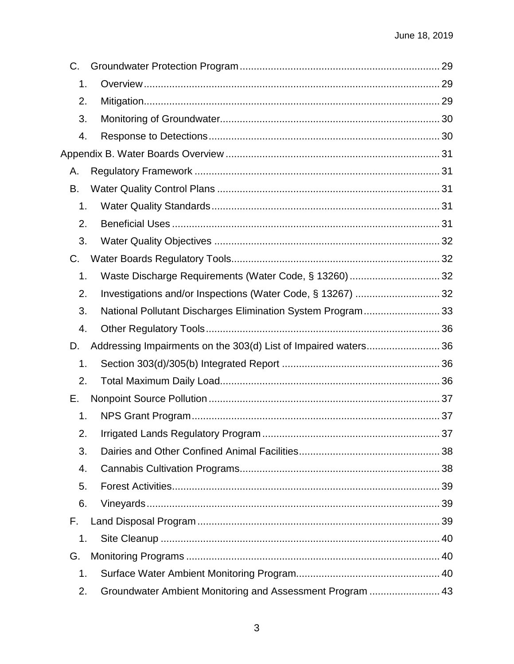| C.            |                                                             |  |
|---------------|-------------------------------------------------------------|--|
| 1.            |                                                             |  |
| 2.            |                                                             |  |
| 3.            |                                                             |  |
| 4.            |                                                             |  |
|               |                                                             |  |
| А.            |                                                             |  |
| В.            |                                                             |  |
| 1.            |                                                             |  |
| 2.            |                                                             |  |
| 3.            |                                                             |  |
| C.            |                                                             |  |
| 1.            |                                                             |  |
| 2.            | Investigations and/or Inspections (Water Code, § 13267)  32 |  |
| 3.            | National Pollutant Discharges Elimination System Program 33 |  |
| 4.            |                                                             |  |
| D.            |                                                             |  |
| 1.            |                                                             |  |
| 2.            |                                                             |  |
| Е.            |                                                             |  |
| 1.            |                                                             |  |
| 2.            |                                                             |  |
| 3.            |                                                             |  |
| 4.            |                                                             |  |
| 5.            |                                                             |  |
| 6.            |                                                             |  |
| F.            |                                                             |  |
| 1.            |                                                             |  |
| G.            |                                                             |  |
| $\mathbf 1$ . |                                                             |  |
| 2.            | Groundwater Ambient Monitoring and Assessment Program  43   |  |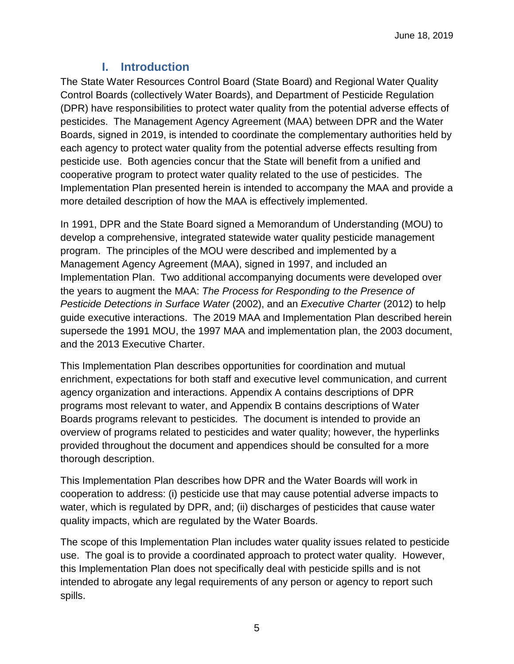## **I. Introduction**

<span id="page-4-0"></span>The State Water Resources Control Board (State Board) and Regional Water Quality Control Boards (collectively Water Boards), and Department of Pesticide Regulation (DPR) have responsibilities to protect water quality from the potential adverse effects of pesticides. The Management Agency Agreement (MAA) between DPR and the Water Boards, signed in 2019, is intended to coordinate the complementary authorities held by each agency to protect water quality from the potential adverse effects resulting from pesticide use. Both agencies concur that the State will benefit from a unified and cooperative program to protect water quality related to the use of pesticides. The Implementation Plan presented herein is intended to accompany the MAA and provide a more detailed description of how the MAA is effectively implemented.

In 1991, DPR and the State Board signed a Memorandum of Understanding (MOU) to develop a comprehensive, integrated statewide water quality pesticide management program. The principles of the MOU were described and implemented by a Management Agency Agreement (MAA), signed in 1997, and included an Implementation Plan. Two additional accompanying documents were developed over the years to augment the MAA: *The Process for Responding to the Presence of Pesticide Detections in Surface Water* (2002), and an *Executive Charter* (2012) to help guide executive interactions. The 2019 MAA and Implementation Plan described herein supersede the 1991 MOU, the 1997 MAA and implementation plan, the 2003 document, and the 2013 Executive Charter.

This Implementation Plan describes opportunities for coordination and mutual enrichment, expectations for both staff and executive level communication, and current agency organization and interactions. Appendix A contains descriptions of DPR programs most relevant to water, and Appendix B contains descriptions of Water Boards programs relevant to pesticides. The document is intended to provide an overview of programs related to pesticides and water quality; however, the hyperlinks provided throughout the document and appendices should be consulted for a more thorough description.

This Implementation Plan describes how DPR and the Water Boards will work in cooperation to address: (i) pesticide use that may cause potential adverse impacts to water, which is regulated by DPR, and; (ii) discharges of pesticides that cause water quality impacts, which are regulated by the Water Boards.

The scope of this Implementation Plan includes water quality issues related to pesticide use. The goal is to provide a coordinated approach to protect water quality. However, this Implementation Plan does not specifically deal with pesticide spills and is not intended to abrogate any legal requirements of any person or agency to report such spills.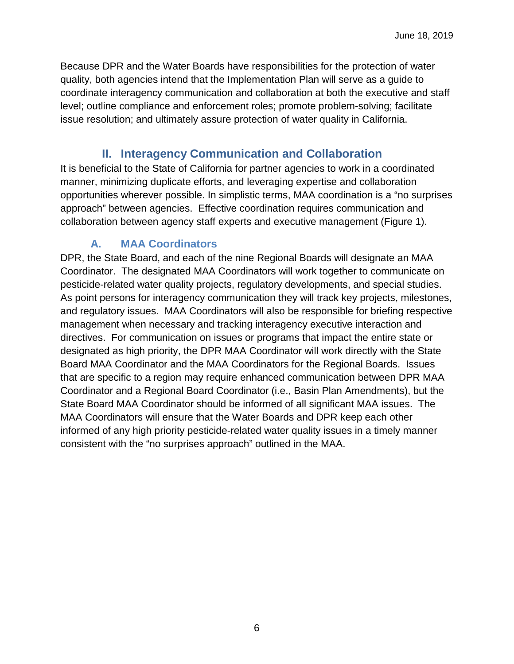Because DPR and the Water Boards have responsibilities for the protection of water quality, both agencies intend that the Implementation Plan will serve as a guide to coordinate interagency communication and collaboration at both the executive and staff level; outline compliance and enforcement roles; promote problem-solving; facilitate issue resolution; and ultimately assure protection of water quality in California.

## **II. Interagency Communication and Collaboration**

<span id="page-5-0"></span>It is beneficial to the State of California for partner agencies to work in a coordinated manner, minimizing duplicate efforts, and leveraging expertise and collaboration opportunities wherever possible. In simplistic terms, MAA coordination is a "no surprises approach" between agencies. Effective coordination requires communication and collaboration between agency staff experts and executive management (Figure 1).

## **A. MAA Coordinators**

<span id="page-5-1"></span>DPR, the State Board, and each of the nine Regional Boards will designate an MAA Coordinator. The designated MAA Coordinators will work together to communicate on pesticide-related water quality projects, regulatory developments, and special studies. As point persons for interagency communication they will track key projects, milestones, and regulatory issues. MAA Coordinators will also be responsible for briefing respective management when necessary and tracking interagency executive interaction and directives. For communication on issues or programs that impact the entire state or designated as high priority, the DPR MAA Coordinator will work directly with the State Board MAA Coordinator and the MAA Coordinators for the Regional Boards. Issues that are specific to a region may require enhanced communication between DPR MAA Coordinator and a Regional Board Coordinator (i.e., Basin Plan Amendments), but the State Board MAA Coordinator should be informed of all significant MAA issues. The MAA Coordinators will ensure that the Water Boards and DPR keep each other informed of any high priority pesticide-related water quality issues in a timely manner consistent with the "no surprises approach" outlined in the MAA.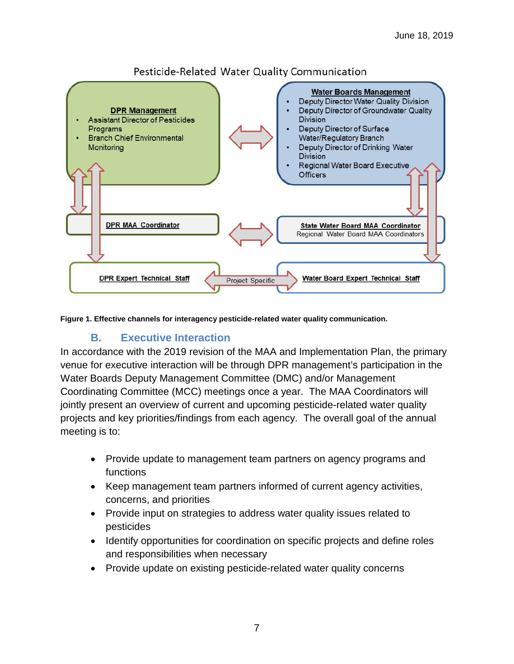

## Pesticide-Related Water Quality Communication

**Figure 1. Effective channels for interagency pesticide-related water quality communication.**

## **B. Executive Interaction**

<span id="page-6-0"></span>In accordance with the 2019 revision of the MAA and Implementation Plan, the primary venue for executive interaction will be through DPR management's participation in the Water Boards Deputy Management Committee (DMC) and/or Management Coordinating Committee (MCC) meetings once a year. The MAA Coordinators will jointly present an overview of current and upcoming pesticide-related water quality projects and key priorities/findings from each agency. The overall goal of the annual meeting is to:

- Provide update to management team partners on agency programs and functions
- Keep management team partners informed of current agency activities, concerns, and priorities
- Provide input on strategies to address water quality issues related to pesticides
- Identify opportunities for coordination on specific projects and define roles and responsibilities when necessary
- Provide update on existing pesticide-related water quality concerns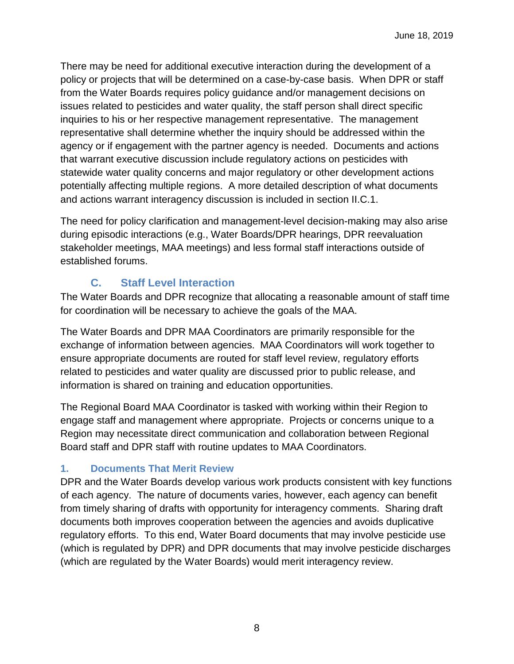There may be need for additional executive interaction during the development of a policy or projects that will be determined on a case-by-case basis. When DPR or staff from the Water Boards requires policy guidance and/or management decisions on issues related to pesticides and water quality, the staff person shall direct specific inquiries to his or her respective management representative. The management representative shall determine whether the inquiry should be addressed within the agency or if engagement with the partner agency is needed. Documents and actions that warrant executive discussion include regulatory actions on pesticides with statewide water quality concerns and major regulatory or other development actions potentially affecting multiple regions. A more detailed description of what documents and actions warrant interagency discussion is included in section II.C.1.

The need for policy clarification and management-level decision-making may also arise during episodic interactions (e.g., Water Boards/DPR hearings, DPR reevaluation stakeholder meetings, MAA meetings) and less formal staff interactions outside of established forums.

## **C. Staff Level Interaction**

<span id="page-7-0"></span>The Water Boards and DPR recognize that allocating a reasonable amount of staff time for coordination will be necessary to achieve the goals of the MAA.

The Water Boards and DPR MAA Coordinators are primarily responsible for the exchange of information between agencies. MAA Coordinators will work together to ensure appropriate documents are routed for staff level review, regulatory efforts related to pesticides and water quality are discussed prior to public release, and information is shared on training and education opportunities.

The Regional Board MAA Coordinator is tasked with working within their Region to engage staff and management where appropriate. Projects or concerns unique to a Region may necessitate direct communication and collaboration between Regional Board staff and DPR staff with routine updates to MAA Coordinators.

## <span id="page-7-1"></span>**1. Documents That Merit Review**

DPR and the Water Boards develop various work products consistent with key functions of each agency. The nature of documents varies, however, each agency can benefit from timely sharing of drafts with opportunity for interagency comments. Sharing draft documents both improves cooperation between the agencies and avoids duplicative regulatory efforts. To this end, Water Board documents that may involve pesticide use (which is regulated by DPR) and DPR documents that may involve pesticide discharges (which are regulated by the Water Boards) would merit interagency review.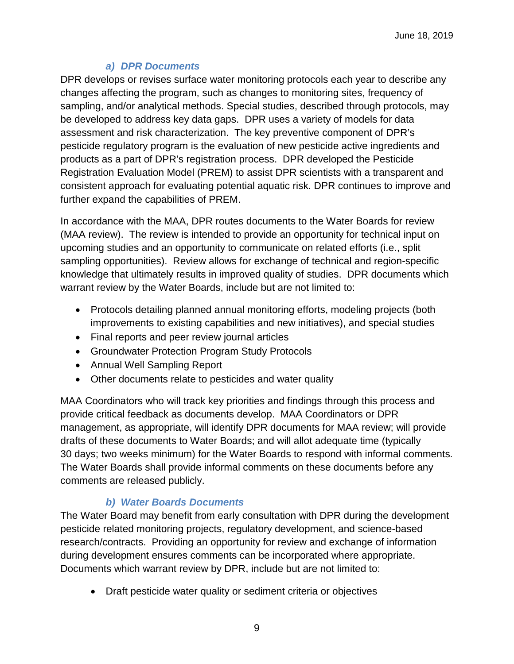## *a) DPR Documents*

DPR develops or revises surface water monitoring protocols each year to describe any changes affecting the program, such as changes to monitoring sites, frequency of sampling, and/or analytical methods. Special studies, described through protocols, may be developed to address key data gaps. DPR uses a variety of models for data assessment and risk characterization. The key preventive component of DPR's pesticide regulatory program is the evaluation of new pesticide active ingredients and products as a part of DPR's registration process. DPR developed the Pesticide Registration Evaluation Model (PREM) to assist DPR scientists with a transparent and consistent approach for evaluating potential aquatic risk. DPR continues to improve and further expand the capabilities of PREM.

In accordance with the MAA, DPR routes documents to the Water Boards for review (MAA review). The review is intended to provide an opportunity for technical input on upcoming studies and an opportunity to communicate on related efforts (i.e., split sampling opportunities). Review allows for exchange of technical and region-specific knowledge that ultimately results in improved quality of studies. DPR documents which warrant review by the Water Boards, include but are not limited to:

- Protocols detailing planned annual monitoring efforts, modeling projects (both improvements to existing capabilities and new initiatives), and special studies
- Final reports and peer review journal articles
- Groundwater Protection Program Study Protocols
- Annual Well Sampling Report
- Other documents relate to pesticides and water quality

MAA Coordinators who will track key priorities and findings through this process and provide critical feedback as documents develop. MAA Coordinators or DPR management, as appropriate, will identify DPR documents for MAA review; will provide drafts of these documents to Water Boards; and will allot adequate time (typically 30 days; two weeks minimum) for the Water Boards to respond with informal comments. The Water Boards shall provide informal comments on these documents before any comments are released publicly.

## *b) Water Boards Documents*

The Water Board may benefit from early consultation with DPR during the development pesticide related monitoring projects, regulatory development, and science-based research/contracts. Providing an opportunity for review and exchange of information during development ensures comments can be incorporated where appropriate. Documents which warrant review by DPR, include but are not limited to:

• Draft pesticide water quality or sediment criteria or objectives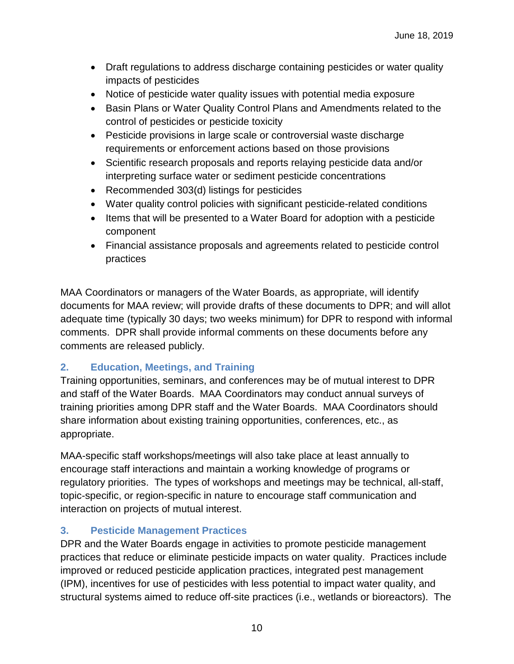- Draft regulations to address discharge containing pesticides or water quality impacts of pesticides
- Notice of pesticide water quality issues with potential media exposure
- Basin Plans or Water Quality Control Plans and Amendments related to the control of pesticides or pesticide toxicity
- Pesticide provisions in large scale or controversial waste discharge requirements or enforcement actions based on those provisions
- Scientific research proposals and reports relaying pesticide data and/or interpreting surface water or sediment pesticide concentrations
- Recommended 303(d) listings for pesticides
- Water quality control policies with significant pesticide-related conditions
- Items that will be presented to a Water Board for adoption with a pesticide component
- Financial assistance proposals and agreements related to pesticide control practices

MAA Coordinators or managers of the Water Boards, as appropriate, will identify documents for MAA review; will provide drafts of these documents to DPR; and will allot adequate time (typically 30 days; two weeks minimum) for DPR to respond with informal comments. DPR shall provide informal comments on these documents before any comments are released publicly.

## <span id="page-9-0"></span>**2. Education, Meetings, and Training**

Training opportunities, seminars, and conferences may be of mutual interest to DPR and staff of the Water Boards. MAA Coordinators may conduct annual surveys of training priorities among DPR staff and the Water Boards. MAA Coordinators should share information about existing training opportunities, conferences, etc., as appropriate.

MAA-specific staff workshops/meetings will also take place at least annually to encourage staff interactions and maintain a working knowledge of programs or regulatory priorities. The types of workshops and meetings may be technical, all-staff, topic-specific, or region-specific in nature to encourage staff communication and interaction on projects of mutual interest.

## <span id="page-9-1"></span>**3. Pesticide Management Practices**

DPR and the Water Boards engage in activities to promote pesticide management practices that reduce or eliminate pesticide impacts on water quality. Practices include improved or reduced pesticide application practices, integrated pest management (IPM), incentives for use of pesticides with less potential to impact water quality, and structural systems aimed to reduce off-site practices (i.e., wetlands or bioreactors). The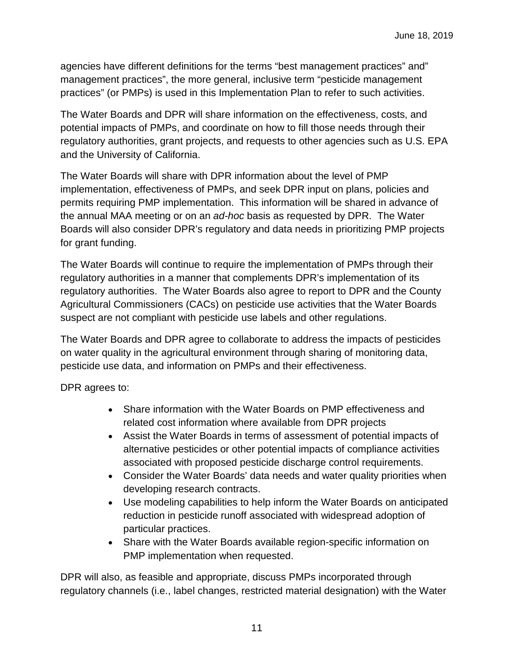agencies have different definitions for the terms "best management practices" and" management practices", the more general, inclusive term "pesticide management practices" (or PMPs) is used in this Implementation Plan to refer to such activities.

The Water Boards and DPR will share information on the effectiveness, costs, and potential impacts of PMPs, and coordinate on how to fill those needs through their regulatory authorities, grant projects, and requests to other agencies such as U.S. EPA and the University of California.

The Water Boards will share with DPR information about the level of PMP implementation, effectiveness of PMPs, and seek DPR input on plans, policies and permits requiring PMP implementation. This information will be shared in advance of the annual MAA meeting or on an *ad-hoc* basis as requested by DPR. The Water Boards will also consider DPR's regulatory and data needs in prioritizing PMP projects for grant funding.

The Water Boards will continue to require the implementation of PMPs through their regulatory authorities in a manner that complements DPR's implementation of its regulatory authorities. The Water Boards also agree to report to DPR and the County Agricultural Commissioners (CACs) on pesticide use activities that the Water Boards suspect are not compliant with pesticide use labels and other regulations.

The Water Boards and DPR agree to collaborate to address the impacts of pesticides on water quality in the agricultural environment through sharing of monitoring data, pesticide use data, and information on PMPs and their effectiveness.

DPR agrees to:

- Share information with the Water Boards on PMP effectiveness and related cost information where available from DPR projects
- Assist the Water Boards in terms of assessment of potential impacts of alternative pesticides or other potential impacts of compliance activities associated with proposed pesticide discharge control requirements.
- Consider the Water Boards' data needs and water quality priorities when developing research contracts.
- Use modeling capabilities to help inform the Water Boards on anticipated reduction in pesticide runoff associated with widespread adoption of particular practices.
- Share with the Water Boards available region-specific information on PMP implementation when requested.

DPR will also, as feasible and appropriate, discuss PMPs incorporated through regulatory channels (i.e., label changes, restricted material designation) with the Water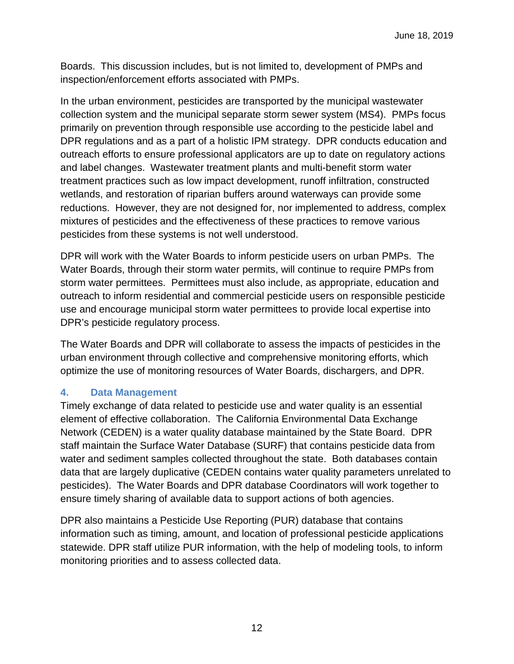Boards. This discussion includes, but is not limited to, development of PMPs and inspection/enforcement efforts associated with PMPs.

In the urban environment, pesticides are transported by the municipal wastewater collection system and the municipal separate storm sewer system (MS4). PMPs focus primarily on prevention through responsible use according to the pesticide label and DPR regulations and as a part of a holistic IPM strategy. DPR conducts education and outreach efforts to ensure professional applicators are up to date on regulatory actions and label changes. Wastewater treatment plants and multi-benefit storm water treatment practices such as low impact development, runoff infiltration, constructed wetlands, and restoration of riparian buffers around waterways can provide some reductions. However, they are not designed for, nor implemented to address, complex mixtures of pesticides and the effectiveness of these practices to remove various pesticides from these systems is not well understood.

DPR will work with the Water Boards to inform pesticide users on urban PMPs. The Water Boards, through their storm water permits, will continue to require PMPs from storm water permittees. Permittees must also include, as appropriate, education and outreach to inform residential and commercial pesticide users on responsible pesticide use and encourage municipal storm water permittees to provide local expertise into DPR's pesticide regulatory process.

The Water Boards and DPR will collaborate to assess the impacts of pesticides in the urban environment through collective and comprehensive monitoring efforts, which optimize the use of monitoring resources of Water Boards, dischargers, and DPR.

## <span id="page-11-0"></span>**4. Data Management**

Timely exchange of data related to pesticide use and water quality is an essential element of effective collaboration. The California Environmental Data Exchange Network (CEDEN) is a water quality database maintained by the State Board. DPR staff maintain the Surface Water Database (SURF) that contains pesticide data from water and sediment samples collected throughout the state. Both databases contain data that are largely duplicative (CEDEN contains water quality parameters unrelated to pesticides). The Water Boards and DPR database Coordinators will work together to ensure timely sharing of available data to support actions of both agencies.

DPR also maintains a Pesticide Use Reporting (PUR) database that contains information such as timing, amount, and location of professional pesticide applications statewide. DPR staff utilize PUR information, with the help of modeling tools, to inform monitoring priorities and to assess collected data.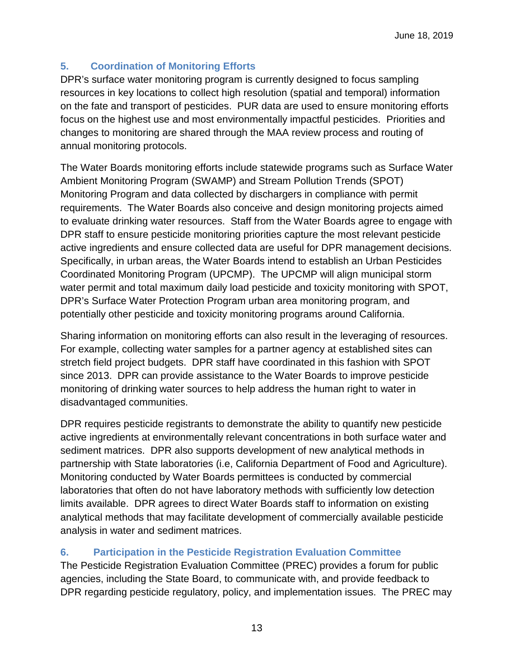## <span id="page-12-0"></span>**5. Coordination of Monitoring Efforts**

DPR's surface water monitoring program is currently designed to focus sampling resources in key locations to collect high resolution (spatial and temporal) information on the fate and transport of pesticides. PUR data are used to ensure monitoring efforts focus on the highest use and most environmentally impactful pesticides. Priorities and changes to monitoring are shared through the MAA review process and routing of annual monitoring protocols.

The Water Boards monitoring efforts include statewide programs such as Surface Water Ambient Monitoring Program (SWAMP) and Stream Pollution Trends (SPOT) Monitoring Program and data collected by dischargers in compliance with permit requirements. The Water Boards also conceive and design monitoring projects aimed to evaluate drinking water resources. Staff from the Water Boards agree to engage with DPR staff to ensure pesticide monitoring priorities capture the most relevant pesticide active ingredients and ensure collected data are useful for DPR management decisions. Specifically, in urban areas, the Water Boards intend to establish an Urban Pesticides Coordinated Monitoring Program (UPCMP). The UPCMP will align municipal storm water permit and total maximum daily load pesticide and toxicity monitoring with SPOT, DPR's Surface Water Protection Program urban area monitoring program, and potentially other pesticide and toxicity monitoring programs around California.

Sharing information on monitoring efforts can also result in the leveraging of resources. For example, collecting water samples for a partner agency at established sites can stretch field project budgets. DPR staff have coordinated in this fashion with SPOT since 2013. DPR can provide assistance to the Water Boards to improve pesticide monitoring of drinking water sources to help address the human right to water in disadvantaged communities.

DPR requires pesticide registrants to demonstrate the ability to quantify new pesticide active ingredients at environmentally relevant concentrations in both surface water and sediment matrices. DPR also supports development of new analytical methods in partnership with State laboratories (i.e, California Department of Food and Agriculture). Monitoring conducted by Water Boards permittees is conducted by commercial laboratories that often do not have laboratory methods with sufficiently low detection limits available. DPR agrees to direct Water Boards staff to information on existing analytical methods that may facilitate development of commercially available pesticide analysis in water and sediment matrices.

## <span id="page-12-1"></span>**6. Participation in the Pesticide Registration Evaluation Committee**

The Pesticide Registration Evaluation Committee (PREC) provides a forum for public agencies, including the State Board, to communicate with, and provide feedback to DPR regarding pesticide regulatory, policy, and implementation issues. The PREC may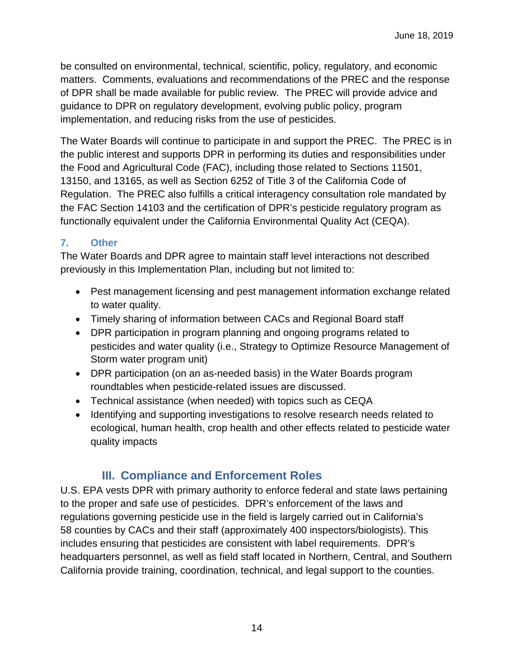be consulted on environmental, technical, scientific, policy, regulatory, and economic matters. Comments, evaluations and recommendations of the PREC and the response of DPR shall be made available for public review. The PREC will provide advice and guidance to DPR on regulatory development, evolving public policy, program implementation, and reducing risks from the use of pesticides.

The Water Boards will continue to participate in and support the PREC. The PREC is in the public interest and supports DPR in performing its duties and responsibilities under the Food and Agricultural Code (FAC), including those related to Sections 11501, 13150, and 13165, as well as Section 6252 of Title 3 of the California Code of Regulation. The PREC also fulfills a critical interagency consultation role mandated by the FAC Section 14103 and the certification of DPR's pesticide regulatory program as functionally equivalent under the California Environmental Quality Act (CEQA).

#### <span id="page-13-0"></span>**7. Other**

The Water Boards and DPR agree to maintain staff level interactions not described previously in this Implementation Plan, including but not limited to:

- Pest management licensing and pest management information exchange related to water quality.
- Timely sharing of information between CACs and Regional Board staff
- DPR participation in program planning and ongoing programs related to pesticides and water quality (i.e., Strategy to Optimize Resource Management of Storm water program unit)
- DPR participation (on an as-needed basis) in the Water Boards program roundtables when pesticide-related issues are discussed.
- Technical assistance (when needed) with topics such as CEQA
- Identifying and supporting investigations to resolve research needs related to ecological, human health, crop health and other effects related to pesticide water quality impacts

## **III. Compliance and Enforcement Roles**

<span id="page-13-1"></span>U.S. EPA vests DPR with primary authority to enforce federal and state laws pertaining to the proper and safe use of pesticides. DPR's enforcement of the laws and regulations governing pesticide use in the field is largely carried out in California's 58 counties by CACs and their staff (approximately 400 inspectors/biologists). This includes ensuring that pesticides are consistent with label requirements. DPR's headquarters personnel, as well as field staff located in Northern, Central, and Southern California provide training, coordination, technical, and legal support to the counties.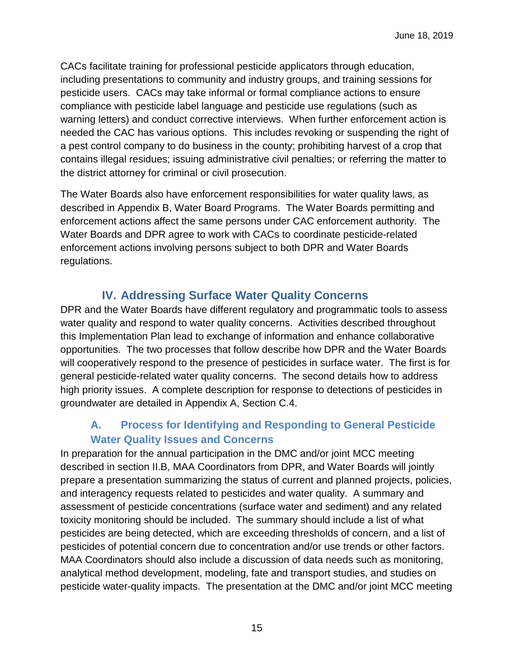CACs facilitate training for professional pesticide applicators through education, including presentations to community and industry groups, and training sessions for pesticide users. CACs may take informal or formal compliance actions to ensure compliance with pesticide label language and pesticide use regulations (such as warning letters) and conduct corrective interviews. When further enforcement action is needed the CAC has various options. This includes revoking or suspending the right of a pest control company to do business in the county; prohibiting harvest of a crop that contains illegal residues; issuing administrative civil penalties; or referring the matter to the district attorney for criminal or civil prosecution.

The Water Boards also have enforcement responsibilities for water quality laws, as described in Appendix B, Water Board Programs. The Water Boards permitting and enforcement actions affect the same persons under CAC enforcement authority. The Water Boards and DPR agree to work with CACs to coordinate pesticide-related enforcement actions involving persons subject to both DPR and Water Boards regulations.

## **IV. Addressing Surface Water Quality Concerns**

<span id="page-14-0"></span>DPR and the Water Boards have different regulatory and programmatic tools to assess water quality and respond to water quality concerns. Activities described throughout this Implementation Plan lead to exchange of information and enhance collaborative opportunities. The two processes that follow describe how DPR and the Water Boards will cooperatively respond to the presence of pesticides in surface water. The first is for general pesticide-related water quality concerns. The second details how to address high priority issues. A complete description for response to detections of pesticides in groundwater are detailed in Appendix A, Section C.4.

## <span id="page-14-1"></span>**A. Process for Identifying and Responding to General Pesticide Water Quality Issues and Concerns**

In preparation for the annual participation in the DMC and/or joint MCC meeting described in section II.B, MAA Coordinators from DPR, and Water Boards will jointly prepare a presentation summarizing the status of current and planned projects, policies, and interagency requests related to pesticides and water quality. A summary and assessment of pesticide concentrations (surface water and sediment) and any related toxicity monitoring should be included. The summary should include a list of what pesticides are being detected, which are exceeding thresholds of concern, and a list of pesticides of potential concern due to concentration and/or use trends or other factors. MAA Coordinators should also include a discussion of data needs such as monitoring, analytical method development, modeling, fate and transport studies, and studies on pesticide water-quality impacts. The presentation at the DMC and/or joint MCC meeting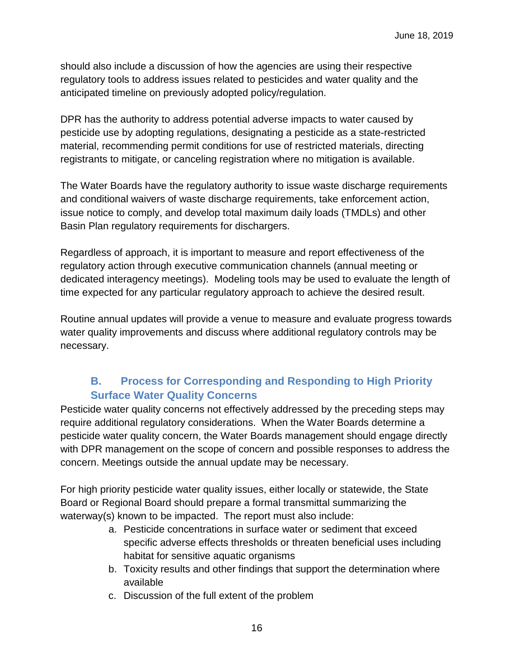should also include a discussion of how the agencies are using their respective regulatory tools to address issues related to pesticides and water quality and the anticipated timeline on previously adopted policy/regulation.

DPR has the authority to address potential adverse impacts to water caused by pesticide use by adopting regulations, designating a pesticide as a state-restricted material, recommending permit conditions for use of restricted materials, directing registrants to mitigate, or canceling registration where no mitigation is available.

The Water Boards have the regulatory authority to issue waste discharge requirements and conditional waivers of waste discharge requirements, take enforcement action, issue notice to comply, and develop total maximum daily loads (TMDLs) and other Basin Plan regulatory requirements for dischargers.

Regardless of approach, it is important to measure and report effectiveness of the regulatory action through executive communication channels (annual meeting or dedicated interagency meetings). Modeling tools may be used to evaluate the length of time expected for any particular regulatory approach to achieve the desired result.

Routine annual updates will provide a venue to measure and evaluate progress towards water quality improvements and discuss where additional regulatory controls may be necessary.

## **B. Process for Corresponding and Responding to High Priority Surface Water Quality Concerns**

<span id="page-15-0"></span>Pesticide water quality concerns not effectively addressed by the preceding steps may require additional regulatory considerations. When the Water Boards determine a pesticide water quality concern, the Water Boards management should engage directly with DPR management on the scope of concern and possible responses to address the concern. Meetings outside the annual update may be necessary.

For high priority pesticide water quality issues, either locally or statewide, the State Board or Regional Board should prepare a formal transmittal summarizing the waterway(s) known to be impacted. The report must also include:

- a. Pesticide concentrations in surface water or sediment that exceed specific adverse effects thresholds or threaten beneficial uses including habitat for sensitive aquatic organisms
- b. Toxicity results and other findings that support the determination where available
- c. Discussion of the full extent of the problem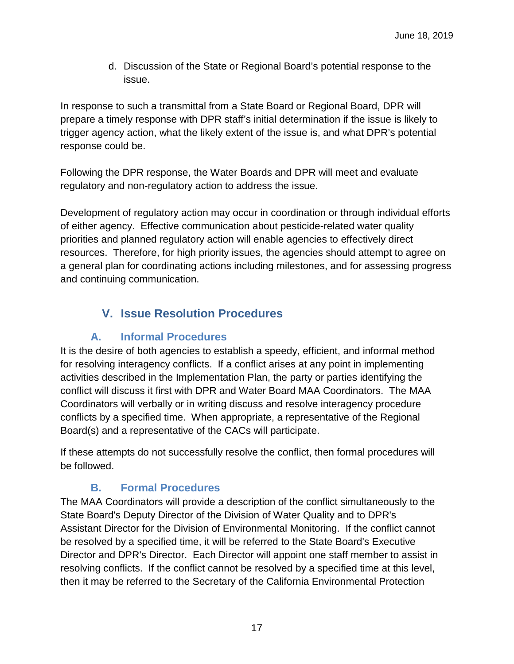d. Discussion of the State or Regional Board's potential response to the issue.

In response to such a transmittal from a State Board or Regional Board, DPR will prepare a timely response with DPR staff's initial determination if the issue is likely to trigger agency action, what the likely extent of the issue is, and what DPR's potential response could be.

Following the DPR response, the Water Boards and DPR will meet and evaluate regulatory and non-regulatory action to address the issue.

Development of regulatory action may occur in coordination or through individual efforts of either agency. Effective communication about pesticide-related water quality priorities and planned regulatory action will enable agencies to effectively direct resources. Therefore, for high priority issues, the agencies should attempt to agree on a general plan for coordinating actions including milestones, and for assessing progress and continuing communication.

## <span id="page-16-0"></span>**V. Issue Resolution Procedures**

## **A. Informal Procedures**

<span id="page-16-1"></span>It is the desire of both agencies to establish a speedy, efficient, and informal method for resolving interagency conflicts. If a conflict arises at any point in implementing activities described in the Implementation Plan, the party or parties identifying the conflict will discuss it first with DPR and Water Board MAA Coordinators. The MAA Coordinators will verbally or in writing discuss and resolve interagency procedure conflicts by a specified time. When appropriate, a representative of the Regional Board(s) and a representative of the CACs will participate.

If these attempts do not successfully resolve the conflict, then formal procedures will be followed.

## **B. Formal Procedures**

<span id="page-16-2"></span>The MAA Coordinators will provide a description of the conflict simultaneously to the State Board's Deputy Director of the Division of Water Quality and to DPR's Assistant Director for the Division of Environmental Monitoring. If the conflict cannot be resolved by a specified time, it will be referred to the State Board's Executive Director and DPR's Director. Each Director will appoint one staff member to assist in resolving conflicts. If the conflict cannot be resolved by a specified time at this level, then it may be referred to the Secretary of the California Environmental Protection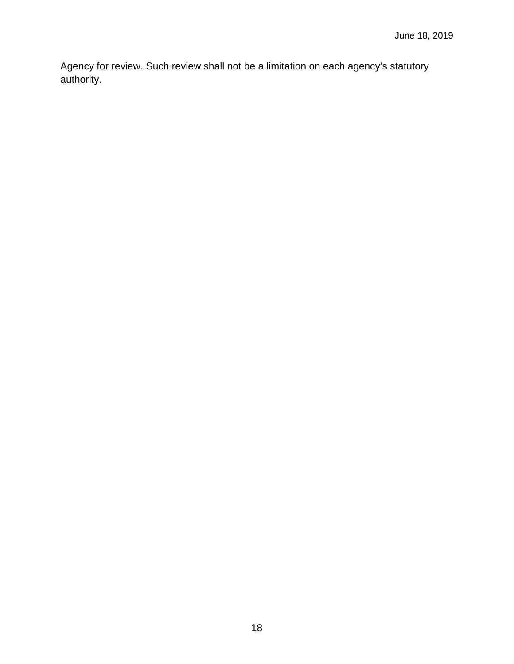Agency for review. Such review shall not be a limitation on each agency's statutory authority.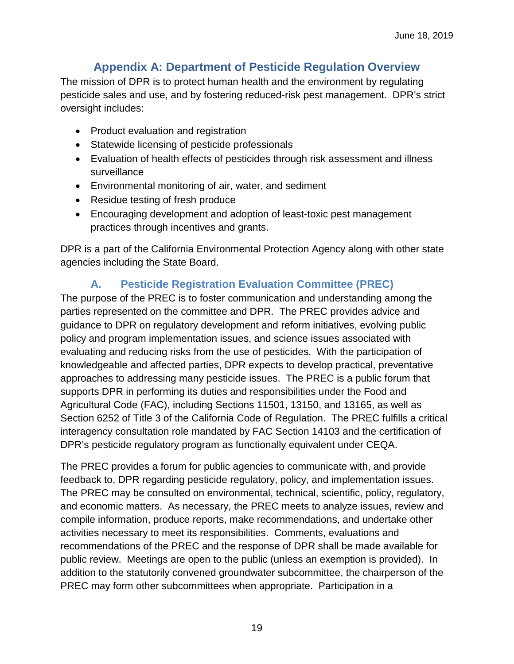## **Appendix A: Department of Pesticide Regulation Overview**

<span id="page-18-0"></span>The mission of DPR is to protect human health and the environment by regulating pesticide sales and use, and by fostering reduced-risk pest management. DPR's strict oversight includes:

- Product evaluation and registration
- Statewide licensing of pesticide professionals
- Evaluation of health effects of pesticides through risk assessment and illness surveillance
- Environmental monitoring of air, water, and sediment
- Residue testing of fresh produce
- Encouraging development and adoption of least-toxic pest management practices through incentives and grants.

DPR is a part of the California Environmental Protection Agency along with other state agencies including the State Board.

## **A. Pesticide Registration Evaluation Committee (PREC)**

<span id="page-18-1"></span>The purpose of the PREC is to foster communication and understanding among the parties represented on the committee and DPR. The PREC provides advice and guidance to DPR on regulatory development and reform initiatives, evolving public policy and program implementation issues, and science issues associated with evaluating and reducing risks from the use of pesticides. With the participation of knowledgeable and affected parties, DPR expects to develop practical, preventative approaches to addressing many pesticide issues. The PREC is a public forum that supports DPR in performing its duties and responsibilities under the Food and Agricultural Code (FAC), including Sections 11501, 13150, and 13165, as well as Section 6252 of Title 3 of the California Code of Regulation. The PREC fulfills a critical interagency consultation role mandated by FAC Section 14103 and the certification of DPR's pesticide regulatory program as functionally equivalent under CEQA.

The PREC provides a forum for public agencies to communicate with, and provide feedback to, DPR regarding pesticide regulatory, policy, and implementation issues. The PREC may be consulted on environmental, technical, scientific, policy, regulatory, and economic matters. As necessary, the PREC meets to analyze issues, review and compile information, produce reports, make recommendations, and undertake other activities necessary to meet its responsibilities. Comments, evaluations and recommendations of the PREC and the response of DPR shall be made available for public review. Meetings are open to the public (unless an exemption is provided). In addition to the statutorily convened groundwater subcommittee, the chairperson of the PREC may form other subcommittees when appropriate. Participation in a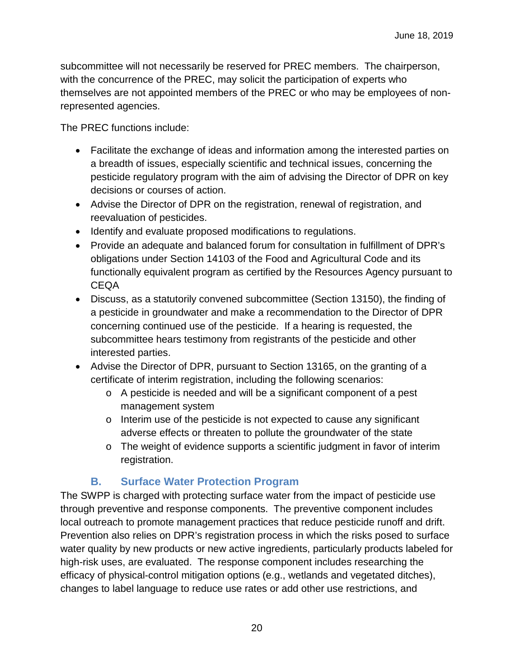subcommittee will not necessarily be reserved for PREC members. The chairperson, with the concurrence of the PREC, may solicit the participation of experts who themselves are not appointed members of the PREC or who may be employees of nonrepresented agencies.

The PREC functions include:

- Facilitate the exchange of ideas and information among the interested parties on a breadth of issues, especially scientific and technical issues, concerning the pesticide regulatory program with the aim of advising the Director of DPR on key decisions or courses of action.
- Advise the Director of DPR on the registration, renewal of registration, and reevaluation of pesticides.
- Identify and evaluate proposed modifications to regulations.
- Provide an adequate and balanced forum for consultation in fulfillment of DPR's obligations under Section 14103 of the Food and Agricultural Code and its functionally equivalent program as certified by the Resources Agency pursuant to CEQA
- Discuss, as a statutorily convened subcommittee (Section 13150), the finding of a pesticide in groundwater and make a recommendation to the Director of DPR concerning continued use of the pesticide. If a hearing is requested, the subcommittee hears testimony from registrants of the pesticide and other interested parties.
- Advise the Director of DPR, pursuant to Section 13165, on the granting of a certificate of interim registration, including the following scenarios:
	- o A pesticide is needed and will be a significant component of a pest management system
	- o Interim use of the pesticide is not expected to cause any significant adverse effects or threaten to pollute the groundwater of the state
	- o The weight of evidence supports a scientific judgment in favor of interim registration.

## **B. Surface Water Protection Program**

<span id="page-19-0"></span>The SWPP is charged with protecting surface water from the impact of pesticide use through preventive and response components. The preventive component includes local outreach to promote management practices that reduce pesticide runoff and drift. Prevention also relies on DPR's registration process in which the risks posed to surface water quality by new products or new active ingredients, particularly products labeled for high-risk uses, are evaluated. The response component includes researching the efficacy of physical-control mitigation options (e.g., wetlands and vegetated ditches), changes to label language to reduce use rates or add other use restrictions, and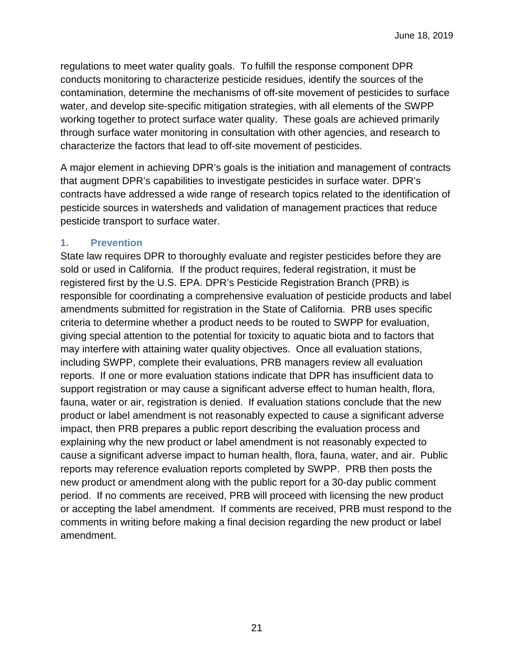regulations to meet water quality goals. To fulfill the response component DPR conducts monitoring to characterize pesticide residues, identify the sources of the contamination, determine the mechanisms of off-site movement of pesticides to surface water, and develop site-specific mitigation strategies, with all elements of the SWPP working together to protect surface water quality. These goals are achieved primarily through surface water monitoring in consultation with other agencies, and research to characterize the factors that lead to off-site movement of pesticides.

A major element in achieving DPR's goals is the initiation and management of contracts that augment DPR's capabilities to investigate pesticides in surface water. DPR's contracts have addressed a wide range of research topics related to the identification of pesticide sources in watersheds and validation of management practices that reduce pesticide transport to surface water.

#### <span id="page-20-0"></span>**1. Prevention**

State law requires DPR to thoroughly evaluate and register pesticides before they are sold or used in California. If the product requires, federal registration, it must be registered first by the U.S. EPA. DPR's Pesticide Registration Branch (PRB) is responsible for coordinating a comprehensive evaluation of pesticide products and label amendments submitted for registration in the State of California. PRB uses specific criteria to determine whether a product needs to be routed to SWPP for evaluation, giving special attention to the potential for toxicity to aquatic biota and to factors that may interfere with attaining water quality objectives. Once all evaluation stations, including SWPP, complete their evaluations, PRB managers review all evaluation reports. If one or more evaluation stations indicate that DPR has insufficient data to support registration or may cause a significant adverse effect to human health, flora, fauna, water or air, registration is denied. If evaluation stations conclude that the new product or label amendment is not reasonably expected to cause a significant adverse impact, then PRB prepares a public report describing the evaluation process and explaining why the new product or label amendment is not reasonably expected to cause a significant adverse impact to human health, flora, fauna, water, and air. Public reports may reference evaluation reports completed by SWPP. PRB then posts the new product or amendment along with the public report for a 30-day public comment period. If no comments are received, PRB will proceed with licensing the new product or accepting the label amendment. If comments are received, PRB must respond to the comments in writing before making a final decision regarding the new product or label amendment.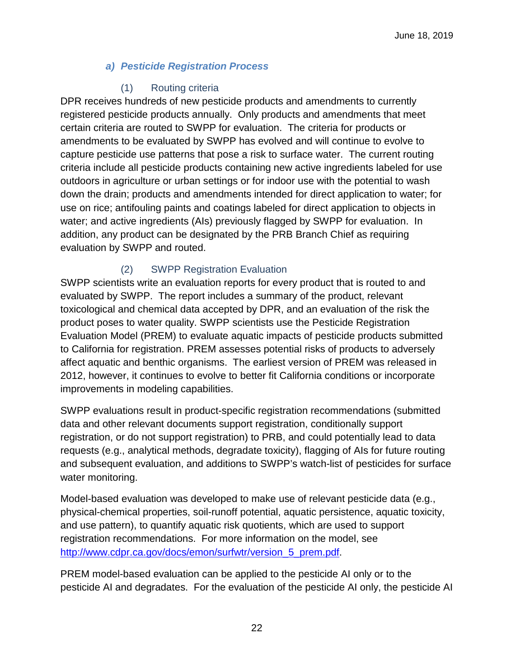#### *a) Pesticide Registration Process*

#### (1) Routing criteria

DPR receives hundreds of new pesticide products and amendments to currently registered pesticide products annually. Only products and amendments that meet certain criteria are routed to SWPP for evaluation. The criteria for products or amendments to be evaluated by SWPP has evolved and will continue to evolve to capture pesticide use patterns that pose a risk to surface water. The current routing criteria include all pesticide products containing new active ingredients labeled for use outdoors in agriculture or urban settings or for indoor use with the potential to wash down the drain; products and amendments intended for direct application to water; for use on rice; antifouling paints and coatings labeled for direct application to objects in water; and active ingredients (AIs) previously flagged by SWPP for evaluation. In addition, any product can be designated by the PRB Branch Chief as requiring evaluation by SWPP and routed.

## (2) SWPP Registration Evaluation

SWPP scientists write an evaluation reports for every product that is routed to and evaluated by SWPP. The report includes a summary of the product, relevant toxicological and chemical data accepted by DPR, and an evaluation of the risk the product poses to water quality. SWPP scientists use the Pesticide Registration Evaluation Model (PREM) to evaluate aquatic impacts of pesticide products submitted to California for registration. PREM assesses potential risks of products to adversely affect aquatic and benthic organisms. The earliest version of PREM was released in 2012, however, it continues to evolve to better fit California conditions or incorporate improvements in modeling capabilities.

SWPP evaluations result in product-specific registration recommendations (submitted data and other relevant documents support registration, conditionally support registration, or do not support registration) to PRB, and could potentially lead to data requests (e.g., analytical methods, degradate toxicity), flagging of AIs for future routing and subsequent evaluation, and additions to SWPP's watch-list of pesticides for surface water monitoring.

Model-based evaluation was developed to make use of relevant pesticide data (e.g., physical-chemical properties, soil-runoff potential, aquatic persistence, aquatic toxicity, and use pattern), to quantify aquatic risk quotients, which are used to support registration recommendations. For more information on the model, see [http://www.cdpr.ca.gov/docs/emon/surfwtr/version\\_5\\_prem.pdf.](http://www.cdpr.ca.gov/docs/emon/surfwtr/version_5_prem.pdf)

PREM model-based evaluation can be applied to the pesticide AI only or to the pesticide AI and degradates. For the evaluation of the pesticide AI only, the pesticide AI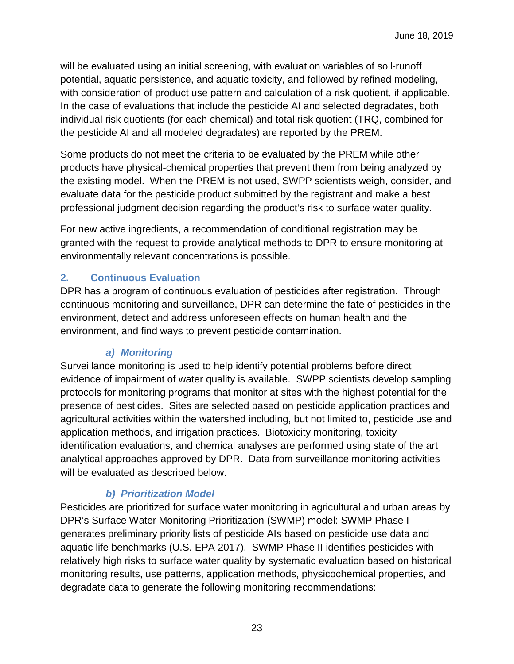will be evaluated using an initial screening, with evaluation variables of soil-runoff potential, aquatic persistence, and aquatic toxicity, and followed by refined modeling, with consideration of product use pattern and calculation of a risk quotient, if applicable. In the case of evaluations that include the pesticide AI and selected degradates, both individual risk quotients (for each chemical) and total risk quotient (TRQ, combined for the pesticide AI and all modeled degradates) are reported by the PREM.

Some products do not meet the criteria to be evaluated by the PREM while other products have physical-chemical properties that prevent them from being analyzed by the existing model. When the PREM is not used, SWPP scientists weigh, consider, and evaluate data for the pesticide product submitted by the registrant and make a best professional judgment decision regarding the product's risk to surface water quality.

For new active ingredients, a recommendation of conditional registration may be granted with the request to provide analytical methods to DPR to ensure monitoring at environmentally relevant concentrations is possible.

## <span id="page-22-0"></span>**2. Continuous Evaluation**

DPR has a program of continuous evaluation of pesticides after registration. Through continuous monitoring and surveillance, DPR can determine the fate of pesticides in the environment, detect and address unforeseen effects on human health and the environment, and find ways to prevent pesticide contamination.

## *a) Monitoring*

Surveillance monitoring is used to help identify potential problems before direct evidence of impairment of water quality is available. SWPP scientists develop sampling protocols for monitoring programs that monitor at sites with the highest potential for the presence of pesticides. Sites are selected based on pesticide application practices and agricultural activities within the watershed including, but not limited to, pesticide use and application methods, and irrigation practices. Biotoxicity monitoring, toxicity identification evaluations, and chemical analyses are performed using state of the art analytical approaches approved by DPR. Data from surveillance monitoring activities will be evaluated as described below.

## *b) Prioritization Model*

Pesticides are prioritized for surface water monitoring in agricultural and urban areas by DPR's Surface Water Monitoring Prioritization (SWMP) model: SWMP Phase I generates preliminary priority lists of pesticide AIs based on pesticide use data and aquatic life benchmarks (U.S. EPA 2017). SWMP Phase II identifies pesticides with relatively high risks to surface water quality by systematic evaluation based on historical monitoring results, use patterns, application methods, physicochemical properties, and degradate data to generate the following monitoring recommendations: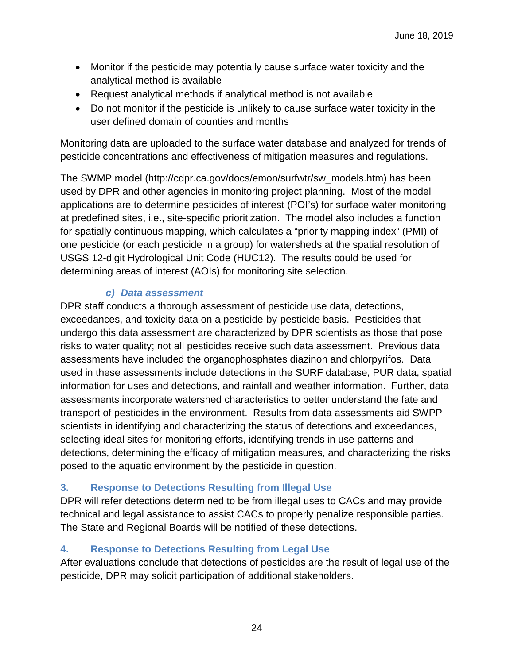- Monitor if the pesticide may potentially cause surface water toxicity and the analytical method is available
- Request analytical methods if analytical method is not available
- Do not monitor if the pesticide is unlikely to cause surface water toxicity in the user defined domain of counties and months

Monitoring data are uploaded to the surface water database and analyzed for trends of pesticide concentrations and effectiveness of mitigation measures and regulations.

The SWMP model (http://cdpr.ca.gov/docs/emon/surfwtr/sw\_models.htm) has been used by DPR and other agencies in monitoring project planning. Most of the model applications are to determine pesticides of interest (POI's) for surface water monitoring at predefined sites, i.e., site-specific prioritization. The model also includes a function for spatially continuous mapping, which calculates a "priority mapping index" (PMI) of one pesticide (or each pesticide in a group) for watersheds at the spatial resolution of USGS 12-digit Hydrological Unit Code (HUC12). The results could be used for determining areas of interest (AOIs) for monitoring site selection.

## *c) Data assessment*

DPR staff conducts a thorough assessment of pesticide use data, detections, exceedances, and toxicity data on a pesticide-by-pesticide basis. Pesticides that undergo this data assessment are characterized by DPR scientists as those that pose risks to water quality; not all pesticides receive such data assessment. Previous data assessments have included the organophosphates diazinon and chlorpyrifos. Data used in these assessments include detections in the SURF database, PUR data, spatial information for uses and detections, and rainfall and weather information. Further, data assessments incorporate watershed characteristics to better understand the fate and transport of pesticides in the environment. Results from data assessments aid SWPP scientists in identifying and characterizing the status of detections and exceedances, selecting ideal sites for monitoring efforts, identifying trends in use patterns and detections, determining the efficacy of mitigation measures, and characterizing the risks posed to the aquatic environment by the pesticide in question.

## <span id="page-23-0"></span>**3. Response to Detections Resulting from Illegal Use**

DPR will refer detections determined to be from illegal uses to CACs and may provide technical and legal assistance to assist CACs to properly penalize responsible parties. The State and Regional Boards will be notified of these detections.

## <span id="page-23-1"></span>**4. Response to Detections Resulting from Legal Use**

After evaluations conclude that detections of pesticides are the result of legal use of the pesticide, DPR may solicit participation of additional stakeholders.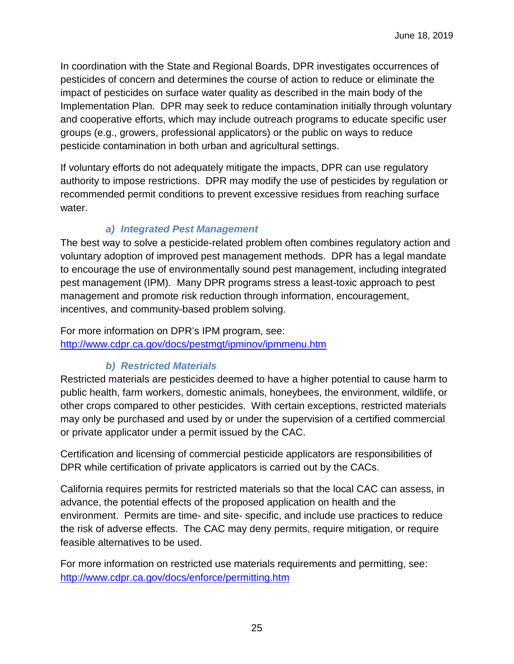In coordination with the State and Regional Boards, DPR investigates occurrences of pesticides of concern and determines the course of action to reduce or eliminate the impact of pesticides on surface water quality as described in the main body of the Implementation Plan. DPR may seek to reduce contamination initially through voluntary and cooperative efforts, which may include outreach programs to educate specific user groups (e.g., growers, professional applicators) or the public on ways to reduce pesticide contamination in both urban and agricultural settings.

If voluntary efforts do not adequately mitigate the impacts, DPR can use regulatory authority to impose restrictions. DPR may modify the use of pesticides by regulation or recommended permit conditions to prevent excessive residues from reaching surface water.

## *a) Integrated Pest Management*

The best way to solve a pesticide-related problem often combines regulatory action and voluntary adoption of improved pest management methods. DPR has a legal mandate to encourage the use of environmentally sound pest management, including integrated pest management (IPM). Many DPR programs stress a least-toxic approach to pest management and promote risk reduction through information, encouragement, incentives, and community-based problem solving.

For more information on DPR's IPM program, see: <http://www.cdpr.ca.gov/docs/pestmgt/ipminov/ipmmenu.htm>

## *b) Restricted Materials*

Restricted materials are pesticides deemed to have a higher potential to cause harm to public health, farm workers, domestic animals, honeybees, the environment, wildlife, or other crops compared to other pesticides. With certain exceptions, restricted materials may only be purchased and used by or under the supervision of a certified commercial or private applicator under a permit issued by the CAC.

Certification and licensing of commercial pesticide applicators are responsibilities of DPR while certification of private applicators is carried out by the CACs.

California requires permits for restricted materials so that the local CAC can assess, in advance, the potential effects of the proposed application on health and the environment. Permits are time- and site- specific, and include use practices to reduce the risk of adverse effects. The CAC may deny permits, require mitigation, or require feasible alternatives to be used.

For more information on restricted use materials requirements and permitting, see: <http://www.cdpr.ca.gov/docs/enforce/permitting.htm>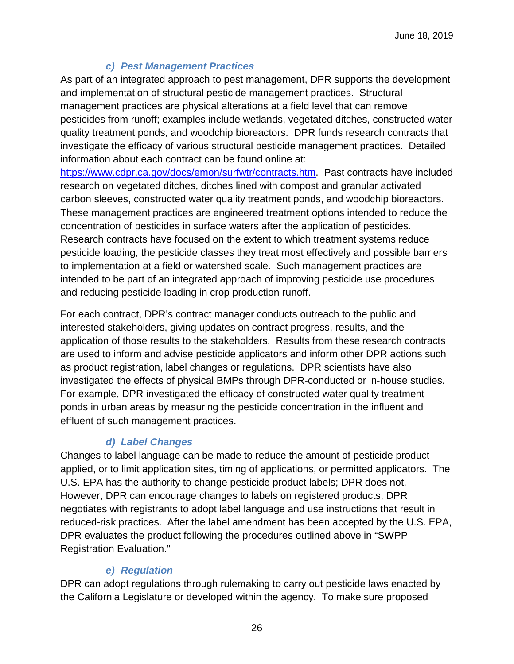#### *c) Pest Management Practices*

As part of an integrated approach to pest management, DPR supports the development and implementation of structural pesticide management practices. Structural management practices are physical alterations at a field level that can remove pesticides from runoff; examples include wetlands, vegetated ditches, constructed water quality treatment ponds, and woodchip bioreactors. DPR funds research contracts that investigate the efficacy of various structural pesticide management practices. Detailed information about each contract can be found online at:

[https://www.cdpr.ca.gov/docs/emon/surfwtr/contracts.htm.](https://www.cdpr.ca.gov/docs/emon/surfwtr/contracts.htm) Past contracts have included research on vegetated ditches, ditches lined with compost and granular activated carbon sleeves, constructed water quality treatment ponds, and woodchip bioreactors. These management practices are engineered treatment options intended to reduce the concentration of pesticides in surface waters after the application of pesticides. Research contracts have focused on the extent to which treatment systems reduce pesticide loading, the pesticide classes they treat most effectively and possible barriers to implementation at a field or watershed scale. Such management practices are intended to be part of an integrated approach of improving pesticide use procedures and reducing pesticide loading in crop production runoff.

For each contract, DPR's contract manager conducts outreach to the public and interested stakeholders, giving updates on contract progress, results, and the application of those results to the stakeholders. Results from these research contracts are used to inform and advise pesticide applicators and inform other DPR actions such as product registration, label changes or regulations. DPR scientists have also investigated the effects of physical BMPs through DPR-conducted or in-house studies. For example, DPR investigated the efficacy of constructed water quality treatment ponds in urban areas by measuring the pesticide concentration in the influent and effluent of such management practices.

## *d) Label Changes*

Changes to label language can be made to reduce the amount of pesticide product applied, or to limit application sites, timing of applications, or permitted applicators. The U.S. EPA has the authority to change pesticide product labels; DPR does not. However, DPR can encourage changes to labels on registered products, DPR negotiates with registrants to adopt label language and use instructions that result in reduced-risk practices. After the label amendment has been accepted by the U.S. EPA, DPR evaluates the product following the procedures outlined above in "SWPP Registration Evaluation."

## *e) Regulation*

DPR can adopt regulations through rulemaking to carry out pesticide laws enacted by the California Legislature or developed within the agency. To make sure proposed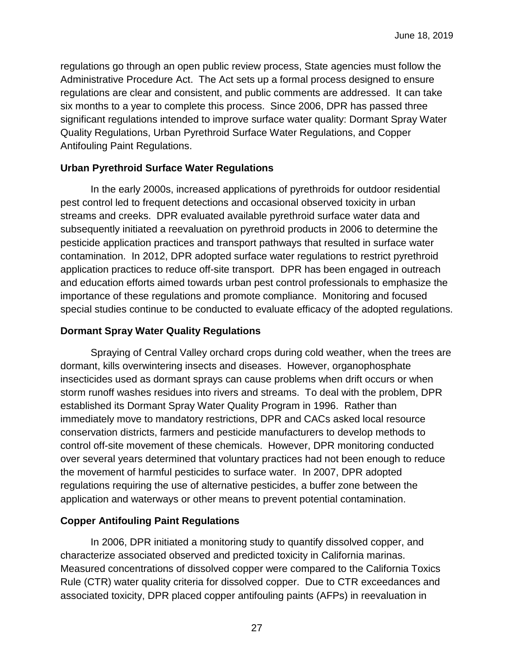regulations go through an open public review process, State agencies must follow the Administrative Procedure Act. The Act sets up a formal process designed to ensure regulations are clear and consistent, and public comments are addressed. It can take six months to a year to complete this process. Since 2006, DPR has passed three significant regulations intended to improve surface water quality: Dormant Spray Water Quality Regulations, Urban Pyrethroid Surface Water Regulations, and Copper Antifouling Paint Regulations.

#### **Urban Pyrethroid Surface Water Regulations**

In the early 2000s, increased applications of pyrethroids for outdoor residential pest control led to frequent detections and occasional observed toxicity in urban streams and creeks. DPR evaluated available pyrethroid surface water data and subsequently initiated a reevaluation on pyrethroid products in 2006 to determine the pesticide application practices and transport pathways that resulted in surface water contamination. In 2012, DPR adopted surface water regulations to restrict pyrethroid application practices to reduce off-site transport. DPR has been engaged in outreach and education efforts aimed towards urban pest control professionals to emphasize the importance of these regulations and promote compliance. Monitoring and focused special studies continue to be conducted to evaluate efficacy of the adopted regulations.

#### **Dormant Spray Water Quality Regulations**

Spraying of Central Valley orchard crops during cold weather, when the trees are dormant, kills overwintering insects and diseases. However, organophosphate insecticides used as dormant sprays can cause problems when drift occurs or when storm runoff washes residues into rivers and streams. To deal with the problem, DPR established its Dormant Spray Water Quality Program in 1996. Rather than immediately move to mandatory restrictions, DPR and CACs asked local resource conservation districts, farmers and pesticide manufacturers to develop methods to control off-site movement of these chemicals. However, DPR monitoring conducted over several years determined that voluntary practices had not been enough to reduce the movement of harmful pesticides to surface water. In 2007, DPR adopted regulations requiring the use of alternative pesticides, a buffer zone between the application and waterways or other means to prevent potential contamination.

#### **Copper Antifouling Paint Regulations**

 In 2006, DPR initiated a monitoring study to quantify dissolved copper, and characterize associated observed and predicted toxicity in California marinas. Measured concentrations of dissolved copper were compared to the California Toxics Rule (CTR) water quality criteria for dissolved copper. Due to CTR exceedances and associated toxicity, DPR placed copper antifouling paints (AFPs) in reevaluation in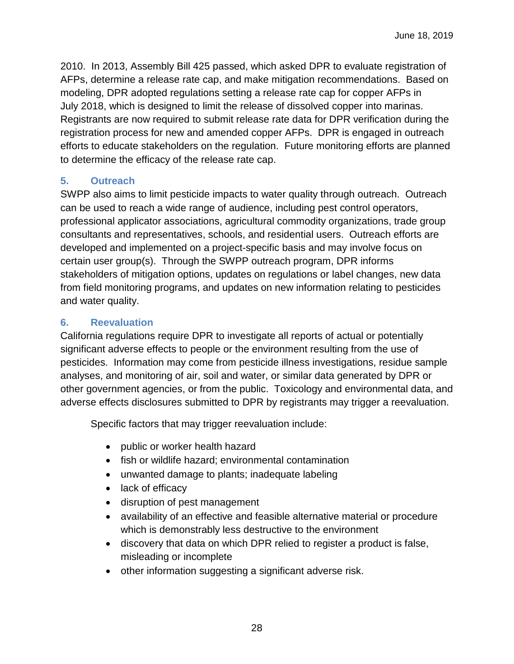2010. In 2013, Assembly Bill 425 passed, which asked DPR to evaluate registration of AFPs, determine a release rate cap, and make mitigation recommendations. Based on modeling, DPR adopted regulations setting a release rate cap for copper AFPs in July 2018, which is designed to limit the release of dissolved copper into marinas. Registrants are now required to submit release rate data for DPR verification during the registration process for new and amended copper AFPs. DPR is engaged in outreach efforts to educate stakeholders on the regulation. Future monitoring efforts are planned to determine the efficacy of the release rate cap.

#### <span id="page-27-0"></span>**5. Outreach**

SWPP also aims to limit pesticide impacts to water quality through outreach. Outreach can be used to reach a wide range of audience, including pest control operators, professional applicator associations, agricultural commodity organizations, trade group consultants and representatives, schools, and residential users. Outreach efforts are developed and implemented on a project-specific basis and may involve focus on certain user group(s). Through the SWPP outreach program, DPR informs stakeholders of mitigation options, updates on regulations or label changes, new data from field monitoring programs, and updates on new information relating to pesticides and water quality.

#### <span id="page-27-1"></span>**6. Reevaluation**

California regulations require DPR to investigate all reports of actual or potentially significant adverse effects to people or the environment resulting from the use of pesticides. Information may come from pesticide illness investigations, residue sample analyses, and monitoring of air, soil and water, or similar data generated by DPR or other government agencies, or from the public. Toxicology and environmental data, and adverse effects disclosures submitted to DPR by registrants may trigger a reevaluation.

Specific factors that may trigger reevaluation include:

- public or worker health hazard
- fish or wildlife hazard; environmental contamination
- unwanted damage to plants; inadequate labeling
- lack of efficacy
- disruption of pest management
- availability of an effective and feasible alternative material or procedure which is demonstrably less destructive to the environment
- discovery that data on which DPR relied to register a product is false, misleading or incomplete
- other information suggesting a significant adverse risk.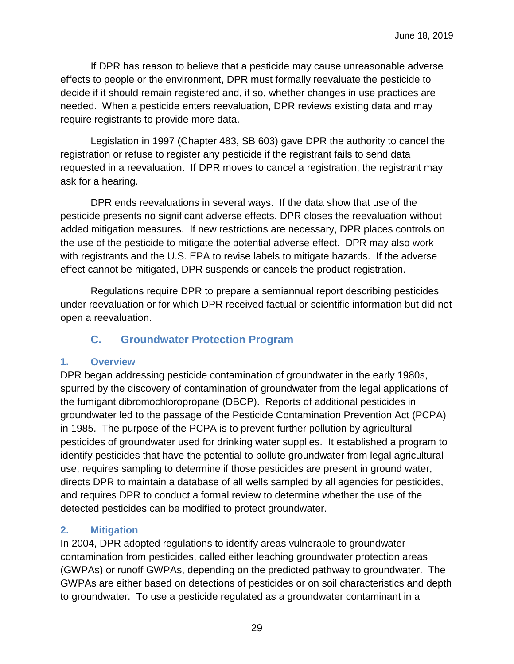If DPR has reason to believe that a pesticide may cause unreasonable adverse effects to people or the environment, DPR must formally reevaluate the pesticide to decide if it should remain registered and, if so, whether changes in use practices are needed. When a pesticide enters reevaluation, DPR reviews existing data and may require registrants to provide more data.

Legislation in 1997 (Chapter 483, SB 603) gave DPR the authority to cancel the registration or refuse to register any pesticide if the registrant fails to send data requested in a reevaluation. If DPR moves to cancel a registration, the registrant may ask for a hearing.

DPR ends reevaluations in several ways. If the data show that use of the pesticide presents no significant adverse effects, DPR closes the reevaluation without added mitigation measures. If new restrictions are necessary, DPR places controls on the use of the pesticide to mitigate the potential adverse effect. DPR may also work with registrants and the U.S. EPA to revise labels to mitigate hazards. If the adverse effect cannot be mitigated, DPR suspends or cancels the product registration.

Regulations require DPR to prepare a semiannual report describing pesticides under reevaluation or for which DPR received factual or scientific information but did not open a reevaluation.

## **C. Groundwater Protection Program**

## <span id="page-28-1"></span><span id="page-28-0"></span>**1. Overview**

DPR began addressing pesticide contamination of groundwater in the early 1980s, spurred by the discovery of contamination of groundwater from the legal applications of the fumigant dibromochloropropane (DBCP). Reports of additional pesticides in groundwater led to the passage of the Pesticide Contamination Prevention Act (PCPA) in 1985. The purpose of the PCPA is to prevent further pollution by agricultural pesticides of groundwater used for drinking water supplies. It established a program to identify pesticides that have the potential to pollute groundwater from legal agricultural use, requires sampling to determine if those pesticides are present in ground water, directs DPR to maintain a database of all wells sampled by all agencies for pesticides, and requires DPR to conduct a formal review to determine whether the use of the detected pesticides can be modified to protect groundwater.

## <span id="page-28-2"></span>**2. Mitigation**

In 2004, DPR adopted regulations to identify areas vulnerable to groundwater contamination from pesticides, called either leaching groundwater protection areas (GWPAs) or runoff GWPAs, depending on the predicted pathway to groundwater. The GWPAs are either based on detections of pesticides or on soil characteristics and depth to groundwater. To use a pesticide regulated as a groundwater contaminant in a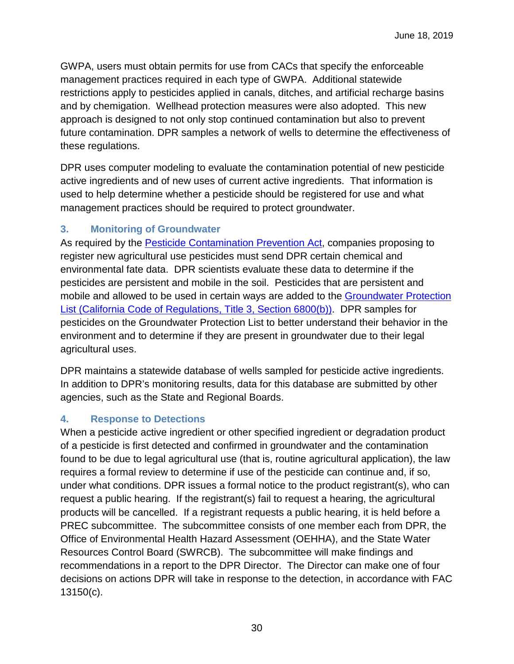GWPA, users must obtain permits for use from CACs that specify the enforceable management practices required in each type of GWPA. Additional statewide restrictions apply to pesticides applied in canals, ditches, and artificial recharge basins and by chemigation. Wellhead protection measures were also adopted. This new approach is designed to not only stop continued contamination but also to prevent future contamination. DPR samples a network of wells to determine the effectiveness of these regulations.

DPR uses computer modeling to evaluate the contamination potential of new pesticide active ingredients and of new uses of current active ingredients. That information is used to help determine whether a pesticide should be registered for use and what management practices should be required to protect groundwater.

## <span id="page-29-0"></span>**3. Monitoring of Groundwater**

As required by the **Pesticide Contamination Prevention Act**, companies proposing to register new agricultural use pesticides must send DPR certain chemical and environmental fate data. DPR scientists evaluate these data to determine if the pesticides are persistent and mobile in the soil. Pesticides that are persistent and mobile and allowed to be used in certain ways are added to the [Groundwater Protection](http://www.cdpr.ca.gov/docs/legbills/calcode/040101.htm#a6800)  [List \(California Code of Regulations, Title 3, Section 6800\(b\)\).](http://www.cdpr.ca.gov/docs/legbills/calcode/040101.htm#a6800) DPR samples for pesticides on the Groundwater Protection List to better understand their behavior in the environment and to determine if they are present in groundwater due to their legal agricultural uses.

DPR maintains a statewide database of wells sampled for pesticide active ingredients. In addition to DPR's monitoring results, data for this database are submitted by other agencies, such as the State and Regional Boards.

## <span id="page-29-1"></span>**4. Response to Detections**

When a pesticide active ingredient or other specified ingredient or degradation product of a pesticide is first detected and confirmed in groundwater and the contamination found to be due to legal agricultural use (that is, routine agricultural application), the law requires a formal review to determine if use of the pesticide can continue and, if so, under what conditions. DPR issues a formal notice to the product registrant(s), who can request a public hearing. If the registrant(s) fail to request a hearing, the agricultural products will be cancelled. If a registrant requests a public hearing, it is held before a PREC subcommittee. The subcommittee consists of one member each from DPR, the Office of Environmental Health Hazard Assessment (OEHHA), and the State Water Resources Control Board (SWRCB). The subcommittee will make findings and recommendations in a report to the DPR Director. The Director can make one of four decisions on actions DPR will take in response to the detection, in accordance with FAC 13150(c).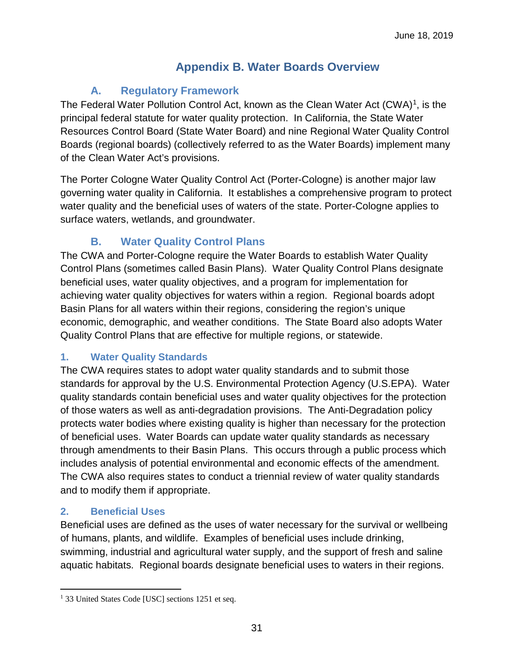## **Appendix B. Water Boards Overview**

## **A. Regulatory Framework**

<span id="page-30-1"></span><span id="page-30-0"></span>The Federal Water Pollution Control Act, known as the Clean Water Act (CWA)<sup>[1](#page-30-5)</sup>, is the principal federal statute for water quality protection. In California, the State Water Resources Control Board (State Water Board) and nine Regional Water Quality Control Boards (regional boards) (collectively referred to as the Water Boards) implement many of the Clean Water Act's provisions.

The Porter Cologne Water Quality Control Act (Porter-Cologne) is another major law governing water quality in California. It establishes a comprehensive program to protect water quality and the beneficial uses of waters of the state. Porter-Cologne applies to surface waters, wetlands, and groundwater.

## **B. Water Quality Control Plans**

<span id="page-30-2"></span>The CWA and Porter-Cologne require the Water Boards to establish Water Quality Control Plans (sometimes called Basin Plans). Water Quality Control Plans designate beneficial uses, water quality objectives, and a program for implementation for achieving water quality objectives for waters within a region. Regional boards adopt Basin Plans for all waters within their regions, considering the region's unique economic, demographic, and weather conditions. The State Board also adopts Water Quality Control Plans that are effective for multiple regions, or statewide.

## <span id="page-30-3"></span>**1. Water Quality Standards**

The CWA requires states to adopt water quality standards and to submit those standards for approval by the U.S. Environmental Protection Agency (U.S.EPA). Water quality standards contain beneficial uses and water quality objectives for the protection of those waters as well as anti-degradation provisions. The Anti-Degradation policy protects water bodies where existing quality is higher than necessary for the protection of beneficial uses. Water Boards can update water quality standards as necessary through amendments to their Basin Plans. This occurs through a public process which includes analysis of potential environmental and economic effects of the amendment. The CWA also requires states to conduct a triennial review of water quality standards and to modify them if appropriate.

## <span id="page-30-4"></span>**2. Beneficial Uses**

 $\overline{a}$ 

Beneficial uses are defined as the uses of water necessary for the survival or wellbeing of humans, plants, and wildlife. Examples of beneficial uses include drinking, swimming, industrial and agricultural water supply, and the support of fresh and saline aquatic habitats. Regional boards designate beneficial uses to waters in their regions.

<span id="page-30-5"></span><sup>&</sup>lt;sup>1</sup> 33 United States Code [USC] sections 1251 et seq.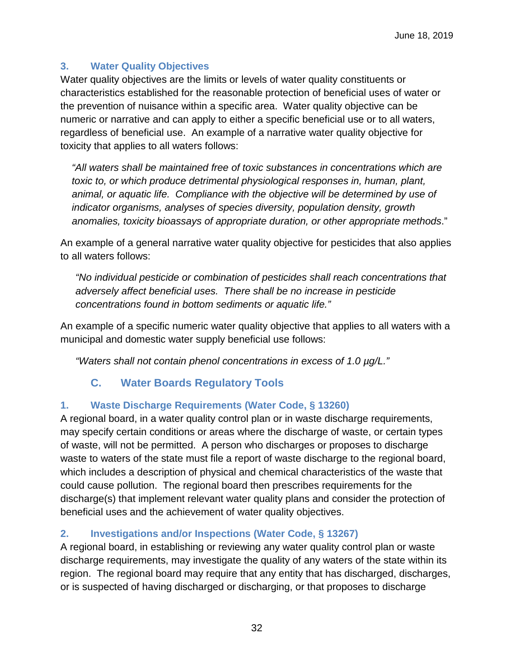## <span id="page-31-0"></span>**3. Water Quality Objectives**

Water quality objectives are the limits or levels of water quality constituents or characteristics established for the reasonable protection of beneficial uses of water or the prevention of nuisance within a specific area. Water quality objective can be numeric or narrative and can apply to either a specific beneficial use or to all waters, regardless of beneficial use. An example of a narrative water quality objective for toxicity that applies to all waters follows:

*"All waters shall be maintained free of toxic substances in concentrations which are toxic to, or which produce detrimental physiological responses in, human, plant, animal, or aquatic life. Compliance with the objective will be determined by use of indicator organisms, analyses of species diversity, population density, growth anomalies, toxicity bioassays of appropriate duration, or other appropriate methods*."

An example of a general narrative water quality objective for pesticides that also applies to all waters follows:

*"No individual pesticide or combination of pesticides shall reach concentrations that adversely affect beneficial uses. There shall be no increase in pesticide concentrations found in bottom sediments or aquatic life."*

An example of a specific numeric water quality objective that applies to all waters with a municipal and domestic water supply beneficial use follows:

*"Waters shall not contain phenol concentrations in excess of 1.0 µg/L."*

## **C. Water Boards Regulatory Tools**

#### <span id="page-31-2"></span><span id="page-31-1"></span>**1. Waste Discharge Requirements (Water Code, § 13260)**

A regional board, in a water quality control plan or in waste discharge requirements, may specify certain conditions or areas where the discharge of waste, or certain types of waste, will not be permitted. A person who discharges or proposes to discharge waste to waters of the state must file a report of waste discharge to the regional board, which includes a description of physical and chemical characteristics of the waste that could cause pollution. The regional board then prescribes requirements for the discharge(s) that implement relevant water quality plans and consider the protection of beneficial uses and the achievement of water quality objectives.

## <span id="page-31-3"></span>**2. Investigations and/or Inspections (Water Code, § 13267)**

A regional board, in establishing or reviewing any water quality control plan or waste discharge requirements, may investigate the quality of any waters of the state within its region. The regional board may require that any entity that has discharged, discharges, or is suspected of having discharged or discharging, or that proposes to discharge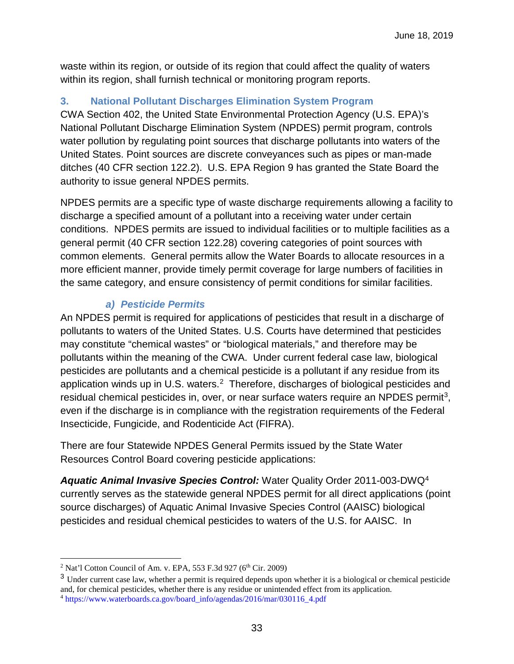waste within its region, or outside of its region that could affect the quality of waters within its region, shall furnish technical or monitoring program reports.

#### <span id="page-32-0"></span>**3. National Pollutant Discharges Elimination System Program**

CWA Section 402, the United State Environmental Protection Agency (U.S. EPA)'s National Pollutant Discharge Elimination System (NPDES) permit program, controls water pollution by regulating point sources that discharge pollutants into waters of the United States. Point sources are discrete conveyances such as pipes or man-made ditches (40 CFR section 122.2). U.S. EPA Region 9 has granted the State Board the authority to issue general NPDES permits.

NPDES permits are a specific type of waste discharge requirements allowing a facility to discharge a specified amount of a pollutant into a receiving water under certain conditions. NPDES permits are issued to individual facilities or to multiple facilities as a general permit (40 CFR section 122.28) covering categories of point sources with common elements. General permits allow the Water Boards to allocate resources in a more efficient manner, provide timely permit coverage for large numbers of facilities in the same category, and ensure consistency of permit conditions for similar facilities.

## *a) Pesticide Permits*

An NPDES permit is required for applications of pesticides that result in a discharge of pollutants to waters of the United States. U.S. Courts have determined that pesticides may constitute "chemical wastes" or "biological materials," and therefore may be pollutants within the meaning of the CWA. Under current federal case law, biological pesticides are pollutants and a chemical pesticide is a pollutant if any residue from its application winds up in U.S. waters.<sup>[2](#page-32-1)</sup> Therefore, discharges of biological pesticides and residual chemical pesticides in, over, or near surface waters require an NPDES permit<sup>3</sup>, even if the discharge is in compliance with the registration requirements of the Federal Insecticide, Fungicide, and Rodenticide Act (FIFRA).

There are four Statewide NPDES General Permits issued by the State Water Resources Control Board covering pesticide applications:

*Aquatic Animal Invasive Species Control:* Water Quality Order 2011-003-DWQ[4](#page-32-3) currently serves as the statewide general NPDES permit for all direct applications (point source discharges) of Aquatic Animal Invasive Species Control (AAISC) biological pesticides and residual chemical pesticides to waters of the U.S. for AAISC. In

<span id="page-32-1"></span> $\overline{a}$ <sup>2</sup> Nat'l Cotton Council of Am. v. EPA, 553 F.3d 927 ( $6<sup>th</sup>$  Cir. 2009)

<span id="page-32-3"></span><span id="page-32-2"></span><sup>&</sup>lt;sup>3</sup> Under current case law, whether a permit is required depends upon whether it is a biological or chemical pesticide and, for chemical pesticides, whether there is any residue or unintended effect from its application. <sup>4</sup> [https://www.waterboards.ca.gov/board\\_info/agendas/2016/mar/030116\\_4.pdf](https://www.waterboards.ca.gov/board_info/agendas/2016/mar/030116_4.pdf)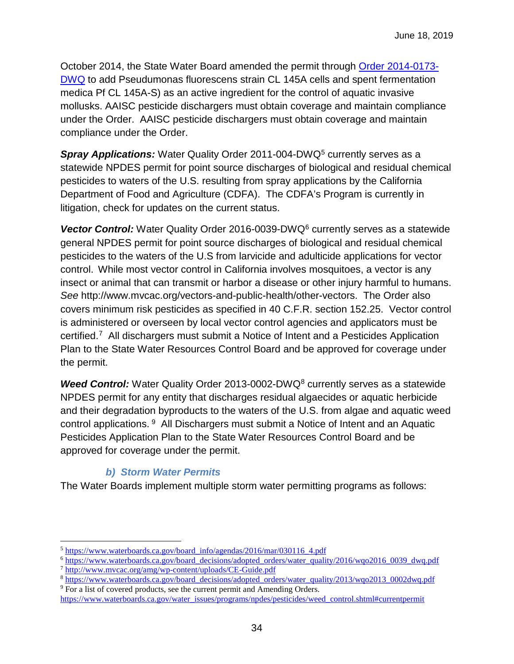October 2014, the State Water Board amended the permit through [Order 2014-0173-](https://www.waterboards.ca.gov/board_decisions/adopted_orders/water_quality/2014/wqo2014_0173_dwq.pdf) [DWQ](https://www.waterboards.ca.gov/board_decisions/adopted_orders/water_quality/2014/wqo2014_0173_dwq.pdf) to add Pseudumonas fluorescens strain CL 145A cells and spent fermentation medica Pf CL 145A-S) as an active ingredient for the control of aquatic invasive mollusks. AAISC pesticide dischargers must obtain coverage and maintain compliance under the Order. AAISC pesticide dischargers must obtain coverage and maintain compliance under the Order.

**Spray Applications:** Water Quality Order 2011-004-DWQ<sup>[5](#page-33-0)</sup> currently serves as a statewide NPDES permit for point source discharges of biological and residual chemical pesticides to waters of the U.S. resulting from spray applications by the California Department of Food and Agriculture (CDFA). The CDFA's Program is currently in litigation, check for updates on the current status.

Vector Control: Water Quality Order 201[6](#page-33-1)-0039-DWQ<sup>6</sup> currently serves as a statewide general NPDES permit for point source discharges of biological and residual chemical pesticides to the waters of the U.S from larvicide and adulticide applications for vector control. While most vector control in California involves mosquitoes, a vector is any insect or animal that can transmit or harbor a disease or other injury harmful to humans. *See* http://www.mvcac.org/vectors-and-public-health/other-vectors. The Order also covers minimum risk pesticides as specified in 40 C.F.R. section 152.25. Vector control is administered or overseen by local vector control agencies and applicators must be certified.[7](#page-33-2) All dischargers must submit a Notice of Intent and a Pesticides Application Plan to the State Water Resources Control Board and be approved for coverage under the permit.

**Weed Control:** Water Quality Order 2013-0002-DWQ<sup>[8](#page-33-3)</sup> currently serves as a statewide NPDES permit for any entity that discharges residual algaecides or aquatic herbicide and their degradation byproducts to the waters of the U.S. from algae and aquatic weed control applications. [9](#page-33-4) All Dischargers must submit a Notice of Intent and an Aquatic Pesticides Application Plan to the State Water Resources Control Board and be approved for coverage under the permit.

## *b) Storm Water Permits*

The Water Boards implement multiple storm water permitting programs as follows:

 $\overline{a}$ 

<span id="page-33-1"></span>

<span id="page-33-3"></span><span id="page-33-2"></span>

<span id="page-33-0"></span><sup>&</sup>lt;sup>5</sup> https://www.waterboards.ca.gov/board\_info/agendas/2016/mar/030116\_4.pdf<br>
<sup>6</sup> https://www.waterboards.ca.gov/board\_decisions/adopted\_orders/water\_quality/2016/wqo2016\_0039\_dwq.pdf<br>
<sup>7</sup> http://www.mvcac.org/amg/wp-conte

<span id="page-33-4"></span>[https://www.waterboards.ca.gov/water\\_issues/programs/npdes/pesticides/weed\\_control.shtml#currentpermit](https://www.waterboards.ca.gov/water_issues/programs/npdes/pesticides/weed_control.shtml#currentpermit)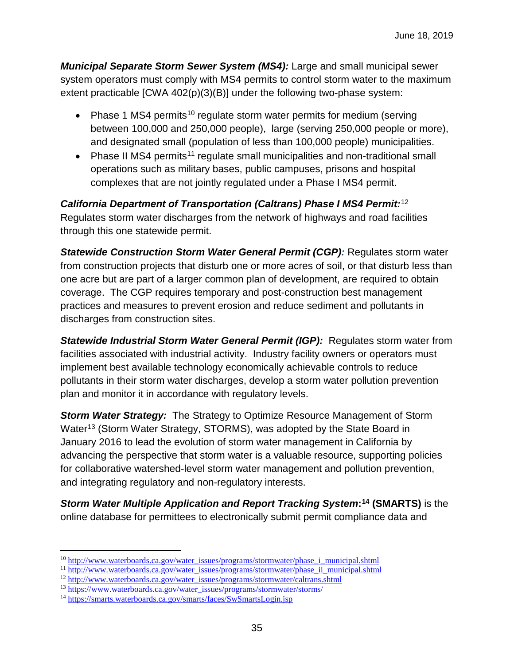*Municipal Separate Storm Sewer System (MS4):* Large and small municipal sewer system operators must comply with MS4 permits to control storm water to the maximum extent practicable [CWA 402(p)(3)(B)] under the following two-phase system:

- Phase 1 MS4 permits<sup>[10](#page-34-0)</sup> regulate storm water permits for medium (serving between 100,000 and 250,000 people), large (serving 250,000 people or more), and designated small (population of less than 100,000 people) municipalities.
- Phase II MS4 permits<sup>[11](#page-34-1)</sup> regulate small municipalities and non-traditional small operations such as military bases, public campuses, prisons and hospital complexes that are not jointly regulated under a Phase I MS4 permit.

#### *California Department of Transportation (Caltrans) Phase I MS4 Permit:*[12](#page-34-2)

Regulates storm water discharges from the network of highways and road facilities through this one statewide permit.

**Statewide Construction Storm Water General Permit (CGP): Regulates storm water** from construction projects that disturb one or more acres of soil, or that disturb less than one acre but are part of a larger common plan of development, are required to obtain coverage. The CGP requires temporary and post-construction best management practices and measures to prevent erosion and reduce sediment and pollutants in discharges from construction sites.

*Statewide Industrial Storm Water General Permit (IGP):* Regulates storm water from facilities associated with industrial activity. Industry facility owners or operators must implement best available technology economically achievable controls to reduce pollutants in their storm water discharges, develop a storm water pollution prevention plan and monitor it in accordance with regulatory levels.

*Storm Water Strategy:* The Strategy to Optimize Resource Management of Storm Water<sup>[13](#page-34-3)</sup> (Storm Water Strategy, STORMS), was adopted by the State Board in January 2016 to lead the evolution of storm water management in California by advancing the perspective that storm water is a valuable resource, supporting policies for collaborative watershed-level storm water management and pollution prevention, and integrating regulatory and non-regulatory interests.

*Storm Water Multiple Application and Report Tracking System***:[14](#page-34-4) (SMARTS)** is the online database for permittees to electronically submit permit compliance data and

 $\overline{a}$ 

<span id="page-34-0"></span><sup>&</sup>lt;sup>10</sup> [http://www.waterboards.ca.gov/water\\_issues/programs/stormwater/phase\\_i\\_municipal.shtml](http://www.waterboards.ca.gov/water_issues/programs/stormwater/phase_i_municipal.shtml) <sup>11</sup> [http://www.waterboards.ca.gov/water\\_issues/programs/stormwater/phase\\_ii\\_municipal.shtml](http://www.waterboards.ca.gov/water_issues/programs/stormwater/phase_ii_municipal.shtml)

<span id="page-34-1"></span>

<span id="page-34-2"></span> $12 \frac{\text{http://www.waterboards.ca.gov/water_isuses/programs/stormwater/caltrans.shtml}}{13 \frac{\text{https://www.waterboards.ca.gov/water-issues/programs/stormwater/caltrans/s}}{13 \frac{\text{https://www.waterboards.ca.gov/water-issues/programs/stormwater/storms}}{13 \frac{\text{https://www.waterboards.ca.gov/water-issues/programs/stormwater/storms}}{13 \frac{\text{https://www.waterboards.ca.gov/water-issues/programs/stormwater/storms}}{13 \frac{\text{https://www.waterboards.ca.gov/water-issues/programs/stormwater/storms}}{13 \frac{\text{https://www.waterboards.ca.gov/water-issues/programs/stormwater/storms}}{13 \frac{\text{https$ 

<span id="page-34-3"></span>

<span id="page-34-4"></span><sup>&</sup>lt;sup>14</sup> <https://smarts.waterboards.ca.gov/smarts/faces/SwSmartsLogin.jsp>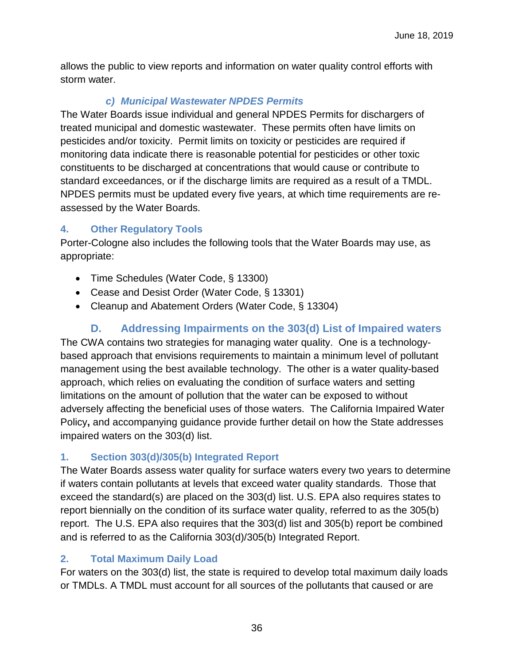allows the public to view reports and information on water quality control efforts with storm water.

## *c) Municipal Wastewater NPDES Permits*

The Water Boards issue individual and general NPDES Permits for dischargers of treated municipal and domestic wastewater. These permits often have limits on pesticides and/or toxicity. Permit limits on toxicity or pesticides are required if monitoring data indicate there is reasonable potential for pesticides or other toxic constituents to be discharged at concentrations that would cause or contribute to standard exceedances, or if the discharge limits are required as a result of a TMDL. NPDES permits must be updated every five years, at which time requirements are reassessed by the Water Boards.

## <span id="page-35-0"></span>**4. Other Regulatory Tools**

Porter-Cologne also includes the following tools that the Water Boards may use, as appropriate:

- Time Schedules (Water Code, § 13300)
- Cease and Desist Order (Water Code, § 13301)
- Cleanup and Abatement Orders (Water Code, § 13304)

## **D. Addressing Impairments on the 303(d) List of Impaired waters**

<span id="page-35-1"></span>The CWA contains two strategies for managing water quality. One is a technologybased approach that envisions requirements to maintain a minimum level of pollutant management using the best available technology. The other is a water quality-based approach, which relies on evaluating the condition of surface waters and setting limitations on the amount of pollution that the water can be exposed to without adversely affecting the beneficial uses of those waters. The California Impaired Water Policy**,** and accompanying guidance provide further detail on how the State addresses impaired waters on the 303(d) list.

## <span id="page-35-2"></span>**1. Section 303(d)/305(b) Integrated Report**

The Water Boards assess water quality for surface waters every two years to determine if waters contain pollutants at levels that exceed water quality standards. Those that exceed the standard(s) are placed on the 303(d) list. U.S. EPA also requires states to report biennially on the condition of its surface water quality, referred to as the 305(b) report. The U.S. EPA also requires that the 303(d) list and 305(b) report be combined and is referred to as the California 303(d)/305(b) Integrated Report.

## <span id="page-35-3"></span>**2. Total Maximum Daily Load**

For waters on the 303(d) list, the state is required to develop total maximum daily loads or TMDLs. A TMDL must account for all sources of the pollutants that caused or are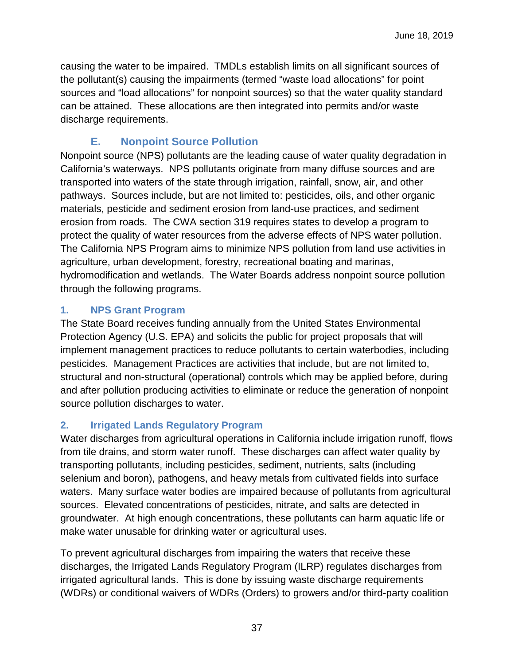causing the water to be impaired. TMDLs establish limits on all significant sources of the pollutant(s) causing the impairments (termed "waste load allocations" for point sources and "load allocations" for nonpoint sources) so that the water quality standard can be attained. These allocations are then integrated into permits and/or waste discharge requirements.

## **E. Nonpoint Source Pollution**

<span id="page-36-0"></span>Nonpoint source (NPS) pollutants are the leading cause of water quality degradation in California's waterways. NPS pollutants originate from many diffuse sources and are transported into waters of the state through irrigation, rainfall, snow, air, and other pathways. Sources include, but are not limited to: pesticides, oils, and other organic materials, pesticide and sediment erosion from land-use practices, and sediment erosion from roads. The CWA section 319 requires states to develop a program to protect the quality of water resources from the adverse effects of NPS water pollution. The California NPS Program aims to minimize NPS pollution from land use activities in agriculture, urban development, forestry, recreational boating and marinas, hydromodification and wetlands. The Water Boards address nonpoint source pollution through the following programs.

## <span id="page-36-1"></span>**1. NPS Grant Program**

The State Board receives funding annually from the United States Environmental Protection Agency (U.S. EPA) and solicits the public for project proposals that will implement management practices to reduce pollutants to certain waterbodies, including pesticides. Management Practices are activities that include, but are not limited to, structural and non-structural (operational) controls which may be applied before, during and after pollution producing activities to eliminate or reduce the generation of nonpoint source pollution discharges to water.

## <span id="page-36-2"></span>**2. Irrigated Lands Regulatory Program**

Water discharges from agricultural operations in California include irrigation runoff, flows from tile drains, and storm water runoff. These discharges can affect water quality by transporting pollutants, including pesticides, sediment, nutrients, salts (including selenium and boron), pathogens, and heavy metals from cultivated fields into surface waters. Many surface water bodies are impaired because of pollutants from agricultural sources. Elevated concentrations of pesticides, nitrate, and salts are detected in groundwater. At high enough concentrations, these pollutants can harm aquatic life or make water unusable for drinking water or agricultural uses.

To prevent agricultural discharges from impairing the waters that receive these discharges, the Irrigated Lands Regulatory Program (ILRP) regulates discharges from irrigated agricultural lands. This is done by issuing waste discharge requirements (WDRs) or conditional waivers of WDRs (Orders) to growers and/or third-party coalition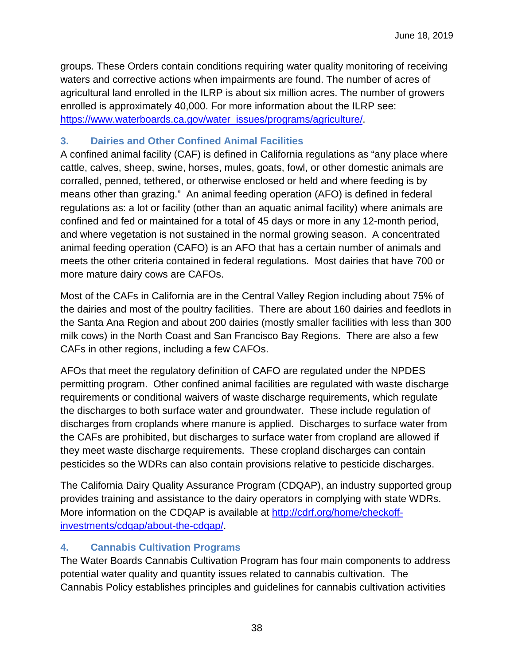groups. These Orders contain conditions requiring water quality monitoring of receiving waters and corrective actions when impairments are found. The number of acres of agricultural land enrolled in the ILRP is about six million acres. The number of growers enrolled is approximately 40,000. For more information about the ILRP see: [https://www.waterboards.ca.gov/water\\_issues/programs/agriculture/.](https://www.waterboards.ca.gov/water_issues/programs/agriculture/)

## <span id="page-37-0"></span>**3. Dairies and Other Confined Animal Facilities**

A confined animal facility (CAF) is defined in California regulations as "any place where cattle, calves, sheep, swine, horses, mules, goats, fowl, or other domestic animals are corralled, penned, tethered, or otherwise enclosed or held and where feeding is by means other than grazing." An animal feeding operation (AFO) is defined in federal regulations as: a lot or facility (other than an aquatic animal facility) where animals are confined and fed or maintained for a total of 45 days or more in any 12-month period, and where vegetation is not sustained in the normal growing season. A concentrated animal feeding operation (CAFO) is an AFO that has a certain number of animals and meets the other criteria contained in federal regulations. Most dairies that have 700 or more mature dairy cows are CAFOs.

Most of the CAFs in California are in the Central Valley Region including about 75% of the dairies and most of the poultry facilities. There are about 160 dairies and feedlots in the Santa Ana Region and about 200 dairies (mostly smaller facilities with less than 300 milk cows) in the North Coast and San Francisco Bay Regions. There are also a few CAFs in other regions, including a few CAFOs.

AFOs that meet the regulatory definition of CAFO are regulated under the NPDES permitting program. Other confined animal facilities are regulated with waste discharge requirements or conditional waivers of waste discharge requirements, which regulate the discharges to both surface water and groundwater. These include regulation of discharges from croplands where manure is applied. Discharges to surface water from the CAFs are prohibited, but discharges to surface water from cropland are allowed if they meet waste discharge requirements. These cropland discharges can contain pesticides so the WDRs can also contain provisions relative to pesticide discharges.

The California Dairy Quality Assurance Program (CDQAP), an industry supported group provides training and assistance to the dairy operators in complying with state WDRs. More information on the CDQAP is available at [http://cdrf.org/home/checkoff](http://cdrf.org/home/checkoff-investments/cdqap/about-the-cdqap/)[investments/cdqap/about-the-cdqap/.](http://cdrf.org/home/checkoff-investments/cdqap/about-the-cdqap/)

## <span id="page-37-1"></span>**4. Cannabis Cultivation Programs**

The Water Boards Cannabis Cultivation Program has four main components to address potential water quality and quantity issues related to cannabis cultivation. The Cannabis Policy establishes principles and guidelines for cannabis cultivation activities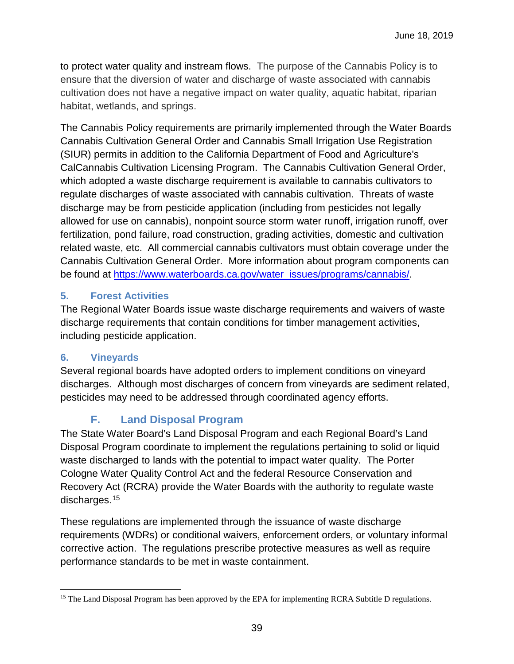to protect water quality and instream flows. The purpose of the Cannabis Policy is to ensure that the diversion of water and discharge of waste associated with cannabis cultivation does not have a negative impact on water quality, aquatic habitat, riparian habitat, wetlands, and springs.

The Cannabis Policy requirements are primarily implemented through the Water Boards Cannabis Cultivation General Order and Cannabis Small Irrigation Use Registration (SIUR) permits in addition to the California Department of Food and Agriculture's CalCannabis Cultivation Licensing Program. The Cannabis Cultivation General Order, which adopted a waste discharge requirement is available to cannabis cultivators to regulate discharges of waste associated with cannabis cultivation. Threats of waste discharge may be from pesticide application (including from pesticides not legally allowed for use on cannabis), nonpoint source storm water runoff, irrigation runoff, over fertilization, pond failure, road construction, grading activities, domestic and cultivation related waste, etc. All commercial cannabis cultivators must obtain coverage under the Cannabis Cultivation General Order. More information about program components can be found at [https://www.waterboards.ca.gov/water\\_issues/programs/cannabis/.](https://www.waterboards.ca.gov/water_issues/programs/cannabis/)

#### <span id="page-38-0"></span>**5. Forest Activities**

The Regional Water Boards issue waste discharge requirements and waivers of waste discharge requirements that contain conditions for timber management activities, including pesticide application.

#### <span id="page-38-1"></span>**6. Vineyards**

Several regional boards have adopted orders to implement conditions on vineyard discharges. Although most discharges of concern from vineyards are sediment related, pesticides may need to be addressed through coordinated agency efforts.

## **F. Land Disposal Program**

<span id="page-38-2"></span>The State Water Board's Land Disposal Program and each Regional Board's Land Disposal Program coordinate to implement the regulations pertaining to solid or liquid waste discharged to lands with the potential to impact water quality. The Porter Cologne Water Quality Control Act and the federal Resource Conservation and Recovery Act (RCRA) provide the Water Boards with the authority to regulate waste discharges.[15](#page-38-3) 

These regulations are implemented through the issuance of waste discharge requirements (WDRs) or conditional waivers, enforcement orders, or voluntary informal corrective action. The regulations prescribe protective measures as well as require performance standards to be met in waste containment.

<span id="page-38-3"></span> $\overline{a}$ <sup>15</sup> The Land Disposal Program has been approved by the EPA for implementing RCRA Subtitle D regulations.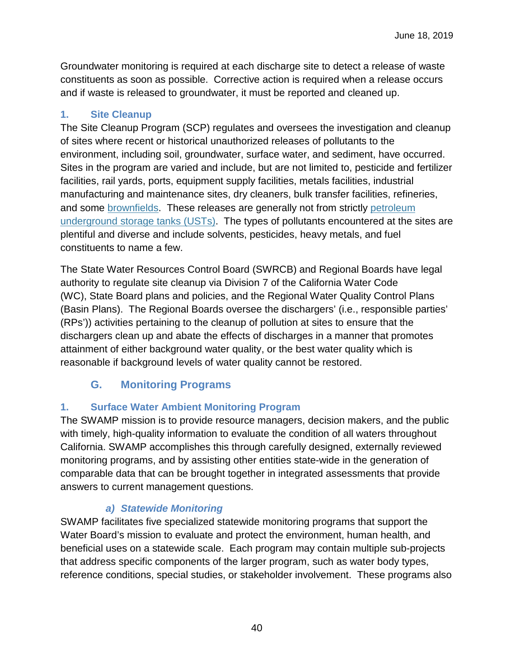Groundwater monitoring is required at each discharge site to detect a release of waste constituents as soon as possible. Corrective action is required when a release occurs and if waste is released to groundwater, it must be reported and cleaned up.

## <span id="page-39-0"></span>**1. Site Cleanup**

The Site Cleanup Program (SCP) regulates and oversees the investigation and cleanup of sites where recent or historical unauthorized releases of pollutants to the environment, including soil, groundwater, surface water, and sediment, have occurred. Sites in the program are varied and include, but are not limited to, pesticide and fertilizer facilities, rail yards, ports, equipment supply facilities, metals facilities, industrial manufacturing and maintenance sites, dry cleaners, bulk transfer facilities, refineries, and some [brownfields.](https://www.waterboards.ca.gov/water_issues/programs/brownfields/) These releases are generally not from strictly [petroleum](https://www.waterboards.ca.gov/water_issues/programs/ust/)  [underground storage tanks \(USTs\).](https://www.waterboards.ca.gov/water_issues/programs/ust/) The types of pollutants encountered at the sites are plentiful and diverse and include solvents, pesticides, heavy metals, and fuel constituents to name a few.

The State Water Resources Control Board (SWRCB) and Regional Boards have legal authority to regulate site cleanup via [Division 7 of the California Water Code](http://water27.waterboards.ca.gov/training/docs/aligning_basin_plan/portercologne.pdf)  [\(WC\),](http://water27.waterboards.ca.gov/training/docs/aligning_basin_plan/portercologne.pdf) [State Board plans and policies,](https://www.waterboards.ca.gov/plans_policies/) and the [Regional Water Quality Control Plans](https://www.waterboards.ca.gov/plans_policies/#plans)  [\(Basin Plans\).](https://www.waterboards.ca.gov/plans_policies/#plans) The Regional Boards oversee the dischargers' (i.e., responsible parties' (RPs')) activities pertaining to the cleanup of pollution at sites to ensure that the dischargers clean up and abate the effects of discharges in a manner that promotes attainment of either background water quality, or the best water quality which is reasonable if background levels of water quality cannot be restored.

## **G. Monitoring Programs**

## <span id="page-39-2"></span><span id="page-39-1"></span>**1. Surface Water Ambient Monitoring Program**

The SWAMP mission is to provide resource managers, decision makers, and the public with timely, high-quality information to evaluate the condition of all waters throughout California. SWAMP accomplishes this through carefully designed, externally reviewed monitoring programs, and by assisting other entities state-wide in the generation of comparable data that can be brought together in integrated assessments that provide answers to current management questions.

## *a) Statewide Monitoring*

SWAMP facilitates five specialized statewide monitoring programs that support the Water Board's mission to evaluate and protect the environment, human health, and beneficial uses on a statewide scale. Each program may contain multiple sub-projects that address specific components of the larger program, such as water body types, reference conditions, special studies, or stakeholder involvement. These programs also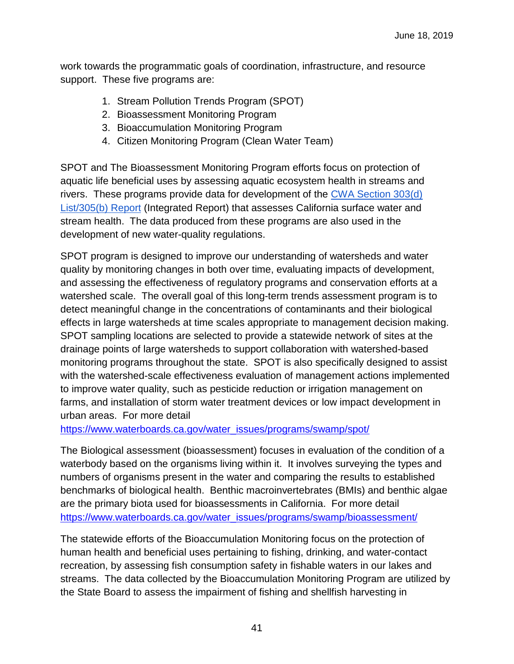work towards the programmatic goals of coordination, infrastructure, and resource support. These five programs are:

- 1. Stream Pollution Trends Program (SPOT)
- 2. Bioassessment Monitoring Program
- 3. Bioaccumulation Monitoring Program
- 4. Citizen Monitoring Program (Clean Water Team)

SPOT and The Bioassessment Monitoring Program efforts focus on protection of aquatic life beneficial uses by assessing aquatic ecosystem health in streams and rivers. These programs provide data for development of the [CWA Section 303\(d\)](http://www.waterboards.ca.gov/water_issues/programs/tmdl/303d_listing.shtml)  [List/305\(b\) Report](http://www.waterboards.ca.gov/water_issues/programs/tmdl/303d_listing.shtml) (Integrated Report) that assesses California surface water and stream health. The data produced from these programs are also used in the development of new water-quality regulations.

SPOT program is designed to improve our understanding of watersheds and water quality by monitoring changes in both over time, evaluating impacts of development, and assessing the effectiveness of regulatory programs and conservation efforts at a watershed scale. The overall goal of this long-term trends assessment program is to detect meaningful change in the concentrations of contaminants and their biological effects in large watersheds at time scales appropriate to management decision making. SPOT sampling locations are selected to provide a statewide network of sites at the drainage points of large watersheds to support collaboration with watershed-based monitoring programs throughout the state. SPOT is also specifically designed to assist with the watershed-scale effectiveness evaluation of management actions implemented to improve water quality, such as pesticide reduction or irrigation management on farms, and installation of storm water treatment devices or low impact development in urban areas. For more detail

https://www.waterboards.ca.gov/water\_issues/programs/swamp/spot/

The Biological assessment (bioassessment) focuses in evaluation of the condition of a waterbody based on the organisms living within it. It involves surveying the types and numbers of organisms present in the water and comparing the results to established benchmarks of biological health. Benthic macroinvertebrates (BMIs) and benthic algae are the primary biota used for bioassessments in California. For more detail [https://www.waterboards.ca.gov/water\\_issues/programs/swamp/bioassessment/](https://www.waterboards.ca.gov/water_issues/programs/swamp/bioassessment/) 

The statewide efforts of the Bioaccumulation Monitoring focus on the protection of human health and beneficial uses pertaining to fishing, drinking, and water-contact recreation, by assessing fish consumption safety in fishable waters in our lakes and streams. The data collected by the Bioaccumulation Monitoring Program are utilized by the State Board to assess the impairment of fishing and shellfish harvesting in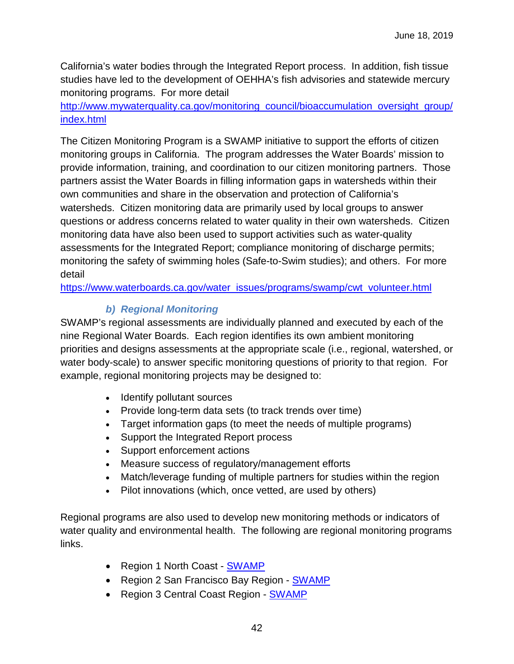California's water bodies through the Integrated Report process. In addition, fish tissue studies have led to the development of OEHHA's fish advisories and statewide mercury monitoring programs. For more detail

[http://www.mywaterquality.ca.gov/monitoring\\_council/bioaccumulation\\_oversight\\_group/](http://www.mywaterquality.ca.gov/monitoring_council/bioaccumulation_oversight_group/index.html) [index.html](http://www.mywaterquality.ca.gov/monitoring_council/bioaccumulation_oversight_group/index.html)

The Citizen Monitoring Program is a SWAMP initiative to support the efforts of citizen monitoring groups in California. The program addresses the Water Boards' mission to provide information, training, and coordination to our citizen monitoring partners. Those partners assist the Water Boards in filling information gaps in watersheds within their own communities and share in the observation and protection of California's watersheds. Citizen monitoring data are primarily used by local groups to answer questions or address concerns related to water quality in their own watersheds. Citizen monitoring data have also been used to support activities such as water-quality assessments for the Integrated Report; compliance monitoring of discharge permits; monitoring the safety of swimming holes (Safe-to-Swim studies); and others. For more detail

https://www.waterboards.ca.gov/water\_issues/programs/swamp/cwt\_volunteer.html

## *b) Regional Monitoring*

SWAMP's regional assessments are individually planned and executed by each of the nine Regional Water Boards. Each region identifies its own ambient monitoring priorities and designs assessments at the appropriate scale (i.e., regional, watershed, or water body-scale) to answer specific monitoring questions of priority to that region. For example, regional monitoring projects may be designed to:

- Identify pollutant sources
- Provide long-term data sets (to track trends over time)
- Target information gaps (to meet the needs of multiple programs)
- Support the Integrated Report process
- Support enforcement actions
- Measure success of regulatory/management efforts
- Match/leverage funding of multiple partners for studies within the region
- Pilot innovations (which, once vetted, are used by others)

Regional programs are also used to develop new monitoring methods or indicators of water quality and environmental health. The following are regional monitoring programs links.

- Region 1 North Coast **SWAMP**
- Region 2 San Francisco Bay Region **SWAMP**
- Region 3 Central Coast Region - [SWAMP](http://www.ccamp.us/ccamp_org/)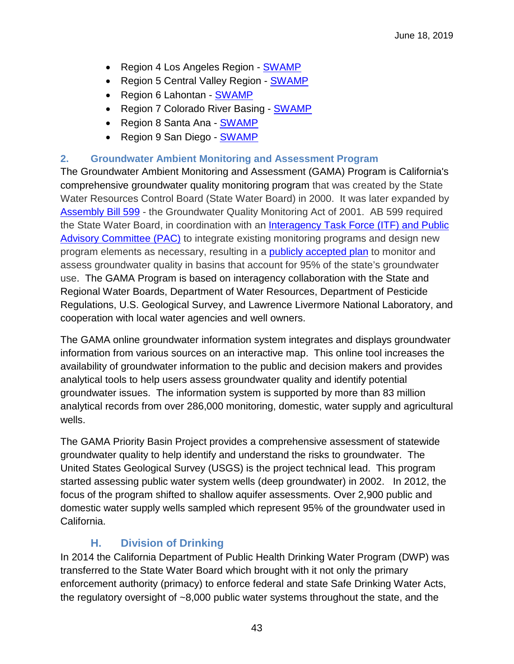- Region 4 Los Angeles Region **SWAMP**
- Region 5 Central Valley Region - [SWAMP](http://www.waterboards.ca.gov/rwqcb5/water_issues/swamp/r5_activities/index.shtml)
- Region 6 Lahontan SWAMP
- Region 7 Colorado River Basing SWAMP
- Region 8 Santa Ana SWAMP
- Region 9 San Diego SWAMP

#### <span id="page-42-0"></span>**2. Groundwater Ambient Monitoring and Assessment Program**

The Groundwater Ambient Monitoring and Assessment (GAMA) Program is California's comprehensive groundwater quality monitoring program that was created by the State Water Resources Control Board (State Water Board) in 2000. It was later expanded by [Assembly Bill 599](https://www.waterboards.ca.gov/water_issues/programs/gama/docs/ab_599_bill_20011005_chaptered.pdf) - the Groundwater Quality Monitoring Act of 2001. AB 599 required the State Water Board, in coordination with an [Interagency Task Force \(ITF\) and Public](https://www.waterboards.ca.gov/water_issues/programs/gama/ab599_stakeholders.shtml)  [Advisory Committee \(PAC\)](https://www.waterboards.ca.gov/water_issues/programs/gama/ab599_stakeholders.shtml) to integrate existing monitoring programs and design new program elements as necessary, resulting in a [publicly accepted plan](https://www.waterboards.ca.gov/water_issues/programs/gama/docs/usgs_rpt_72903_wri034166.pdf) to monitor and assess groundwater quality in basins that account for 95% of the state's groundwater use. The GAMA Program is based on interagency collaboration with the State and Regional Water Boards, Department of Water Resources, Department of Pesticide Regulations, U.S. Geological Survey, and Lawrence Livermore National Laboratory, and cooperation with local water agencies and well owners.

The GAMA online groundwater information system integrates and displays groundwater information from various sources on an interactive map. This online tool increases the availability of groundwater information to the public and decision makers and provides analytical tools to help users assess groundwater quality and identify potential groundwater issues. The information system is supported by more than 83 million analytical records from over 286,000 monitoring, domestic, water supply and agricultural wells.

The GAMA Priority Basin Project provides a comprehensive assessment of statewide groundwater quality to help identify and understand the risks to groundwater. The United States Geological Survey (USGS) is the project technical lead. This program started assessing public water system wells (deep groundwater) in 2002. In 2012, the focus of the program shifted to shallow aquifer assessments. Over 2,900 public and domestic water supply wells sampled which represent 95% of the groundwater used in California.

## **H. Division of Drinking**

<span id="page-42-1"></span>In 2014 the California Department of Public Health Drinking Water Program (DWP) was transferred to the State Water Board which brought with it not only the primary enforcement authority (primacy) to enforce federal and state Safe Drinking Water Acts, the regulatory oversight of ~8,000 public water systems throughout the state, and the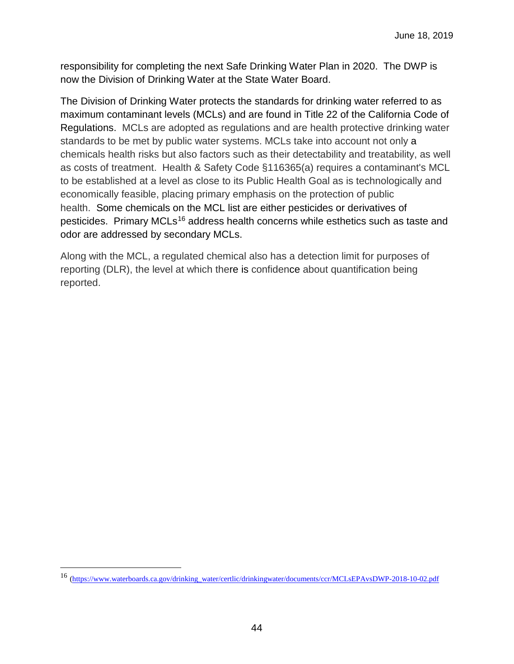responsibility for completing the next Safe Drinking Water Plan in 2020. The DWP is now the Division of Drinking Water at the State Water Board.

The Division of Drinking Water protects the standards for drinking water referred to as maximum contaminant levels (MCLs) and are found in Title 22 of the California Code of Regulations. MCLs are adopted as regulations and are health protective drinking water standards to be met by public water systems. MCLs take into account not only a chemicals health risks but also factors such as their detectability and treatability, as well as costs of treatment. Health & Safety Code §116365(a) requires a contaminant's MCL to be established at a level as close to its Public Health Goal as is technologically and economically feasible, placing primary emphasis on the protection of public health. Some chemicals on the MCL list are either pesticides or derivatives of pesticides. Primary MCLs<sup>[16](#page-43-0)</sup> address health concerns while esthetics such as taste and odor are addressed by secondary MCLs.

Along with the MCL, a regulated chemical also has a detection limit for purposes of reporting (DLR), the level at which there is confidence about quantification being reported.

 $\overline{a}$ 

<span id="page-43-0"></span><sup>16</sup> [\(https://www.waterboards.ca.gov/drinking\\_water/certlic/drinkingwater/documents/ccr/MCLsEPAvsDWP-2018-10-02.pdf](https://www.waterboards.ca.gov/drinking_water/certlic/drinkingwater/documents/ccr/MCLsEPAvsDWP-2018-10-02.pdf)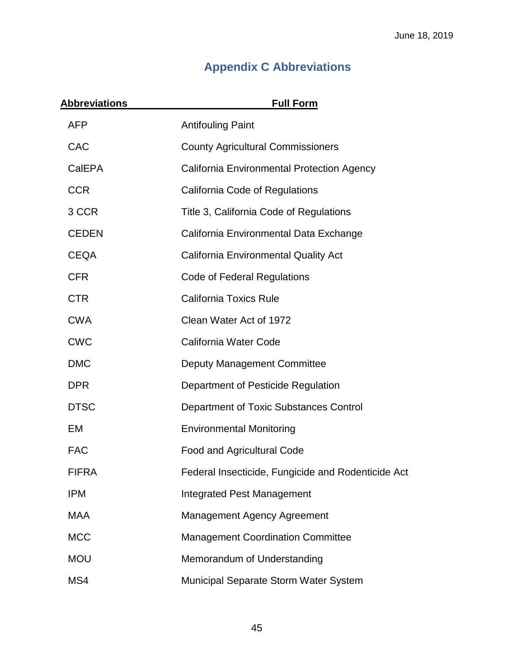## **Appendix C Abbreviations**

<span id="page-44-0"></span>

| <b>Abbreviations</b> | <b>Full Form</b>                                   |
|----------------------|----------------------------------------------------|
| <b>AFP</b>           | <b>Antifouling Paint</b>                           |
| CAC                  | <b>County Agricultural Commissioners</b>           |
| CalEPA               | California Environmental Protection Agency         |
| <b>CCR</b>           | California Code of Regulations                     |
| 3 CCR                | Title 3, California Code of Regulations            |
| <b>CEDEN</b>         | California Environmental Data Exchange             |
| <b>CEQA</b>          | <b>California Environmental Quality Act</b>        |
| <b>CFR</b>           | <b>Code of Federal Regulations</b>                 |
| <b>CTR</b>           | <b>California Toxics Rule</b>                      |
| <b>CWA</b>           | Clean Water Act of 1972                            |
| <b>CWC</b>           | <b>California Water Code</b>                       |
| <b>DMC</b>           | Deputy Management Committee                        |
| <b>DPR</b>           | Department of Pesticide Regulation                 |
| <b>DTSC</b>          | Department of Toxic Substances Control             |
| EM                   | <b>Environmental Monitoring</b>                    |
| <b>FAC</b>           | Food and Agricultural Code                         |
| FIFRA                | Federal Insecticide, Fungicide and Rodenticide Act |
| <b>IPM</b>           | <b>Integrated Pest Management</b>                  |
| <b>MAA</b>           | <b>Management Agency Agreement</b>                 |
| <b>MCC</b>           | <b>Management Coordination Committee</b>           |
| <b>MOU</b>           | Memorandum of Understanding                        |
| MS4                  | Municipal Separate Storm Water System              |